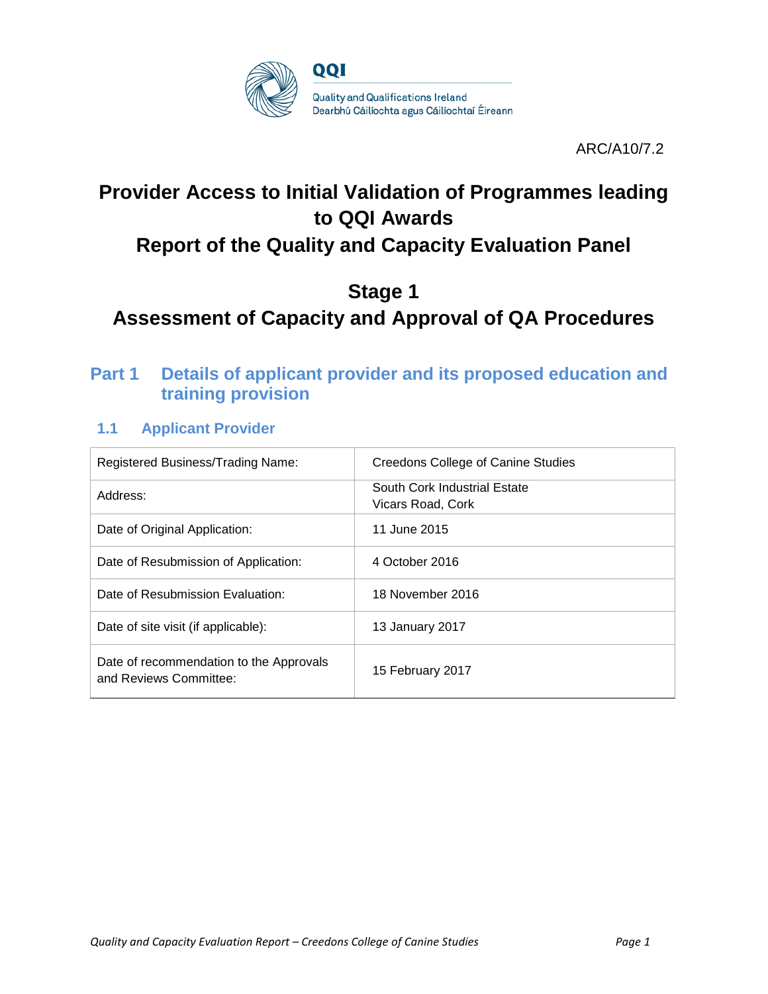

ARC/A10/7.2

# **Provider Access to Initial Validation of Programmes leading to QQI Awards**

# **Report of the Quality and Capacity Evaluation Panel**

# **Stage 1 Assessment of Capacity and Approval of QA Procedures**

# **Part 1 Details of applicant provider and its proposed education and training provision**

# **1.1 Applicant Provider**

| Registered Business/Trading Name:                                 | <b>Creedons College of Canine Studies</b>         |
|-------------------------------------------------------------------|---------------------------------------------------|
| Address:                                                          | South Cork Industrial Estate<br>Vicars Road, Cork |
| Date of Original Application:                                     | 11 June 2015                                      |
| Date of Resubmission of Application:                              | 4 October 2016                                    |
| Date of Resubmission Evaluation:                                  | 18 November 2016                                  |
| Date of site visit (if applicable):                               | 13 January 2017                                   |
| Date of recommendation to the Approvals<br>and Reviews Committee: | 15 February 2017                                  |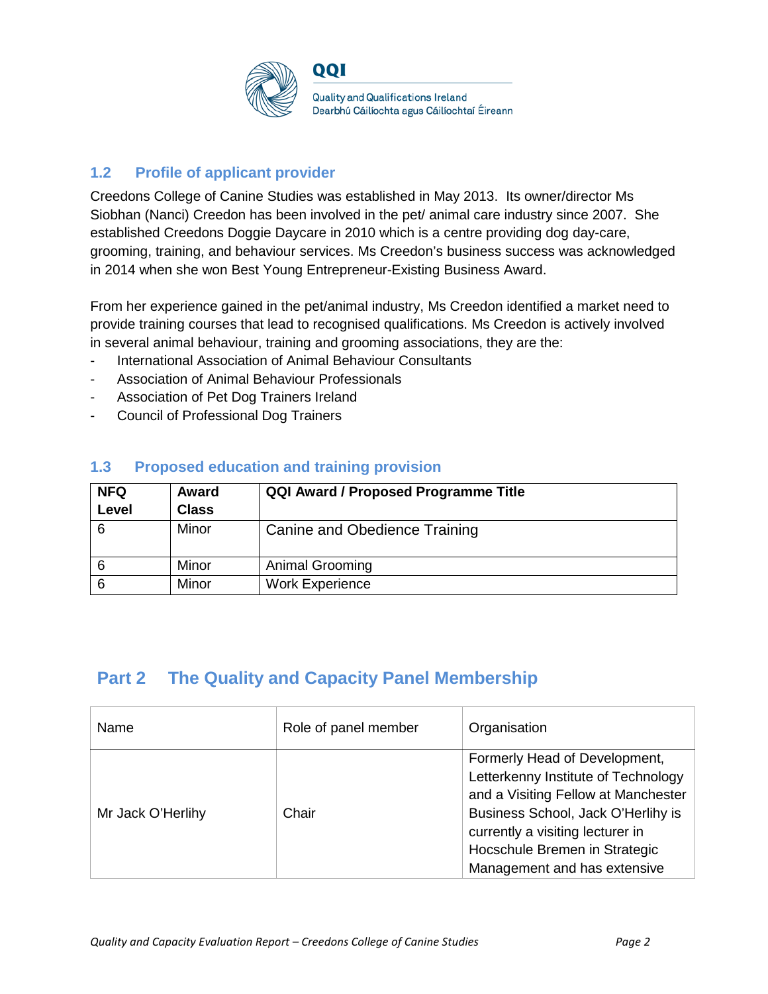

# **1.2 Profile of applicant provider**

Creedons College of Canine Studies was established in May 2013. Its owner/director Ms Siobhan (Nanci) Creedon has been involved in the pet/ animal care industry since 2007. She established Creedons Doggie Daycare in 2010 which is a centre providing dog day-care, grooming, training, and behaviour services. Ms Creedon's business success was acknowledged in 2014 when she won Best Young Entrepreneur-Existing Business Award.

From her experience gained in the pet/animal industry, Ms Creedon identified a market need to provide training courses that lead to recognised qualifications. Ms Creedon is actively involved in several animal behaviour, training and grooming associations, they are the:

- International Association of Animal Behaviour Consultants
- Association of Animal Behaviour Professionals
- Association of Pet Dog Trainers Ireland
- Council of Professional Dog Trainers

| <b>NFQ</b><br>Level | Award<br><b>Class</b> | <b>QQI Award / Proposed Programme Title</b> |
|---------------------|-----------------------|---------------------------------------------|
| 6                   | Minor                 | Canine and Obedience Training               |
| 6                   | Minor                 | Animal Grooming                             |
| 6                   | Minor                 | <b>Work Experience</b>                      |

# **1.3 Proposed education and training provision**

# **Part 2 The Quality and Capacity Panel Membership**

| Name              | Role of panel member | Organisation                                                                                                                                                                                                                                           |
|-------------------|----------------------|--------------------------------------------------------------------------------------------------------------------------------------------------------------------------------------------------------------------------------------------------------|
| Mr Jack O'Herlihy | Chair                | Formerly Head of Development,<br>Letterkenny Institute of Technology<br>and a Visiting Fellow at Manchester<br>Business School, Jack O'Herlihy is<br>currently a visiting lecturer in<br>Hocschule Bremen in Strategic<br>Management and has extensive |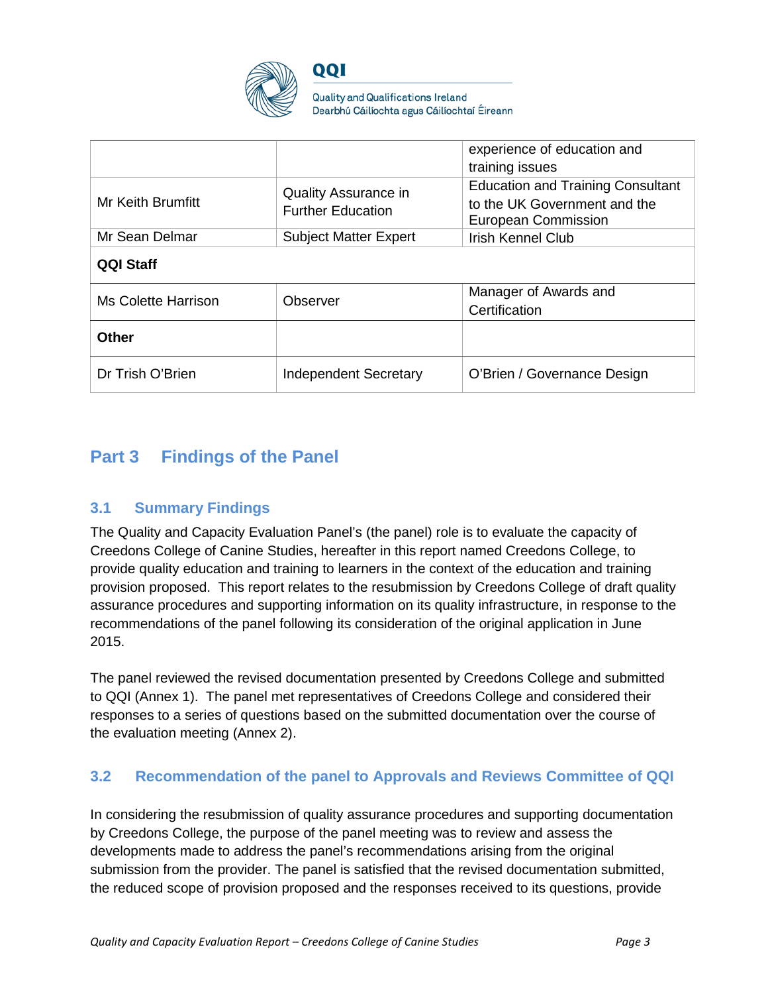

|                          |                                                  | experience of education and<br>training issues                                                         |
|--------------------------|--------------------------------------------------|--------------------------------------------------------------------------------------------------------|
| <b>Mr Keith Brumfitt</b> | Quality Assurance in<br><b>Further Education</b> | <b>Education and Training Consultant</b><br>to the UK Government and the<br><b>European Commission</b> |
| Mr Sean Delmar           | <b>Subject Matter Expert</b>                     | <b>Irish Kennel Club</b>                                                                               |
| <b>QQI Staff</b>         |                                                  |                                                                                                        |
| Ms Colette Harrison      | Observer                                         | Manager of Awards and                                                                                  |
|                          |                                                  | Certification                                                                                          |
| <b>Other</b>             |                                                  |                                                                                                        |
| Dr Trish O'Brien         | Independent Secretary                            | O'Brien / Governance Design                                                                            |

# **Part 3 Findings of the Panel**

# **3.1 Summary Findings**

The Quality and Capacity Evaluation Panel's (the panel) role is to evaluate the capacity of Creedons College of Canine Studies, hereafter in this report named Creedons College, to provide quality education and training to learners in the context of the education and training provision proposed. This report relates to the resubmission by Creedons College of draft quality assurance procedures and supporting information on its quality infrastructure, in response to the recommendations of the panel following its consideration of the original application in June 2015.

The panel reviewed the revised documentation presented by Creedons College and submitted to QQI (Annex 1). The panel met representatives of Creedons College and considered their responses to a series of questions based on the submitted documentation over the course of the evaluation meeting (Annex 2).

# **3.2 Recommendation of the panel to Approvals and Reviews Committee of QQI**

In considering the resubmission of quality assurance procedures and supporting documentation by Creedons College, the purpose of the panel meeting was to review and assess the developments made to address the panel's recommendations arising from the original submission from the provider. The panel is satisfied that the revised documentation submitted, the reduced scope of provision proposed and the responses received to its questions, provide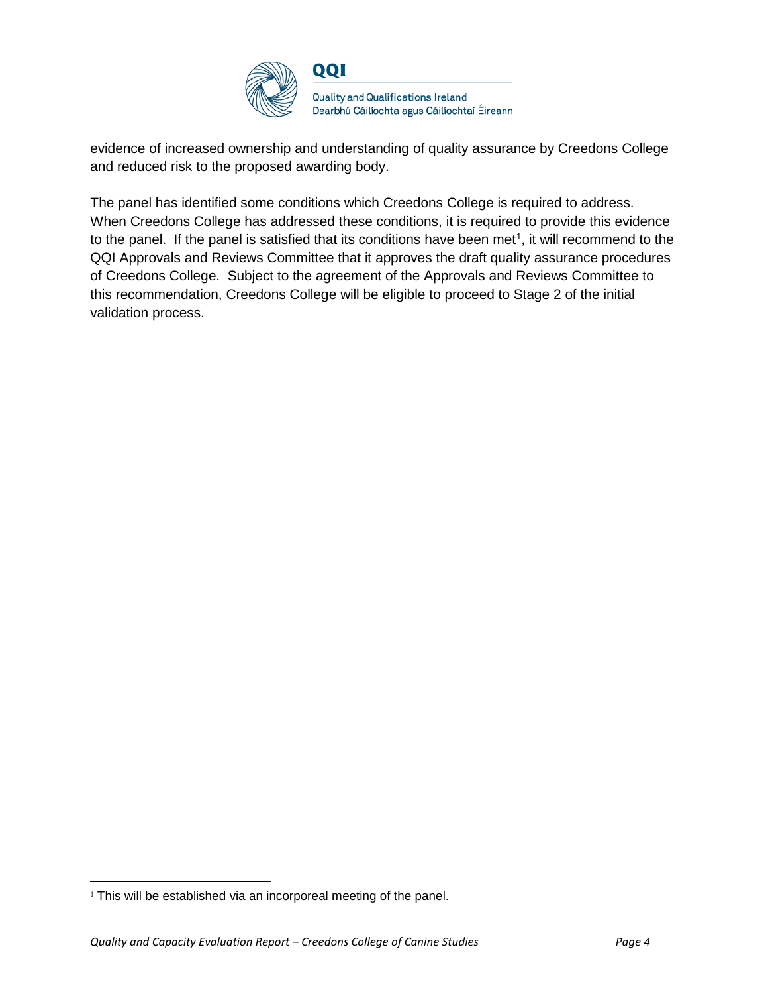

evidence of increased ownership and understanding of quality assurance by Creedons College and reduced risk to the proposed awarding body.

The panel has identified some conditions which Creedons College is required to address. When Creedons College has addressed these conditions, it is required to provide this evidence to the panel. If the panel is satisfied that its conditions have been met<sup>[1](#page-3-0)</sup>, it will recommend to the QQI Approvals and Reviews Committee that it approves the draft quality assurance procedures of Creedons College. Subject to the agreement of the Approvals and Reviews Committee to this recommendation, Creedons College will be eligible to proceed to Stage 2 of the initial validation process.

<span id="page-3-0"></span><sup>&</sup>lt;sup>1</sup> This will be established via an incorporeal meeting of the panel.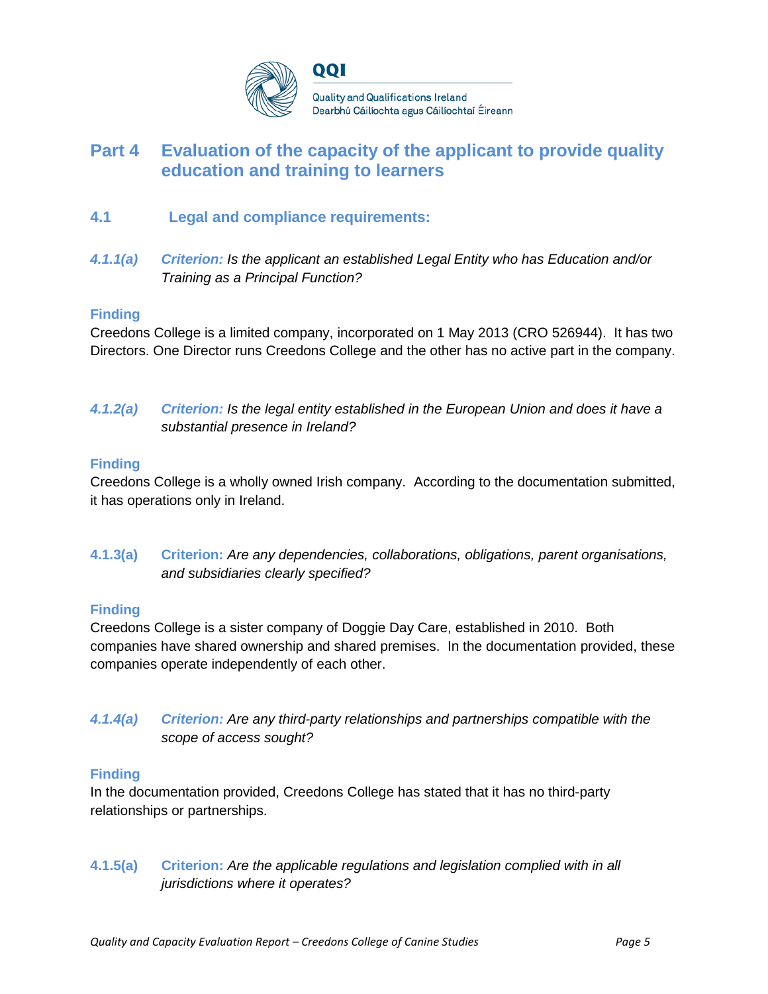

# **Part 4 Evaluation of the capacity of the applicant to provide quality education and training to learners**

- **4.1 Legal and compliance requirements:**
- *4.1.1(a) Criterion: Is the applicant an established Legal Entity who has Education and/or Training as a Principal Function?*

#### **Finding**

Creedons College is a limited company, incorporated on 1 May 2013 (CRO 526944). It has two Directors. One Director runs Creedons College and the other has no active part in the company.

*4.1.2(a) Criterion: Is the legal entity established in the European Union and does it have a substantial presence in Ireland?*

#### **Finding**

Creedons College is a wholly owned Irish company. According to the documentation submitted, it has operations only in Ireland.

**4.1.3(a) Criterion:** *Are any dependencies, collaborations, obligations, parent organisations, and subsidiaries clearly specified?*

#### **Finding**

Creedons College is a sister company of Doggie Day Care, established in 2010. Both companies have shared ownership and shared premises. In the documentation provided, these companies operate independently of each other.

*4.1.4(a) Criterion: Are any third-party relationships and partnerships compatible with the scope of access sought?*

#### **Finding**

In the documentation provided, Creedons College has stated that it has no third-party relationships or partnerships.

**4.1.5(a) Criterion:** *Are the applicable regulations and legislation complied with in all jurisdictions where it operates?*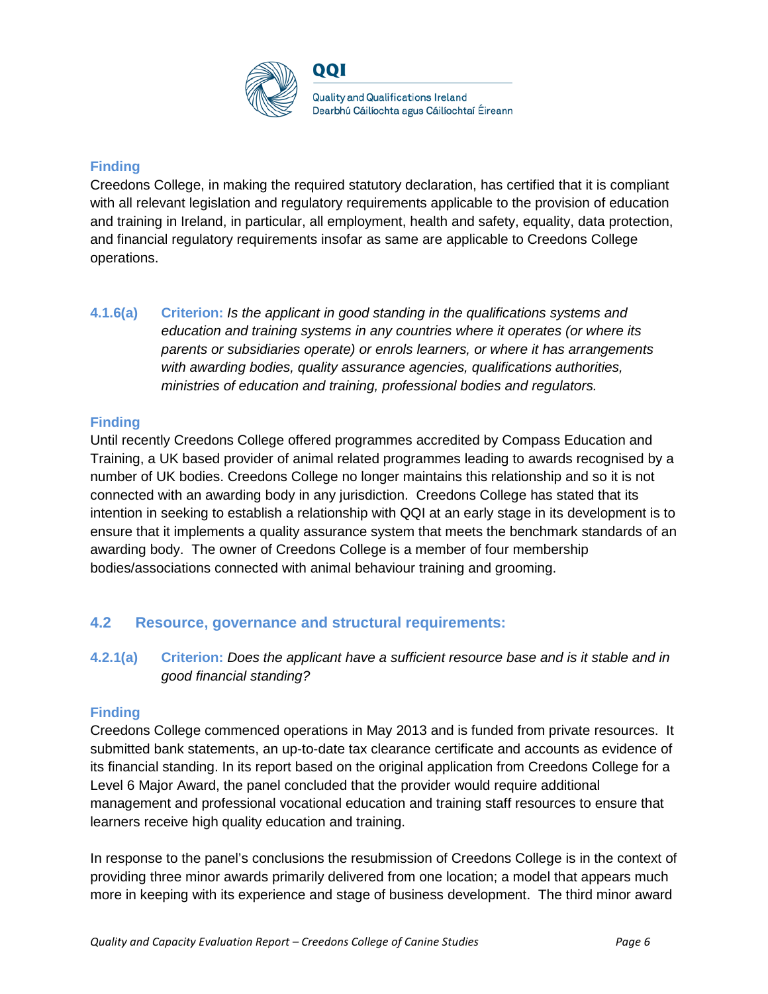

## **Finding**

Creedons College, in making the required statutory declaration, has certified that it is compliant with all relevant legislation and regulatory requirements applicable to the provision of education and training in Ireland, in particular, all employment, health and safety, equality, data protection, and financial regulatory requirements insofar as same are applicable to Creedons College operations.

**4.1.6(a) Criterion:** *Is the applicant in good standing in the qualifications systems and education and training systems in any countries where it operates (or where its parents or subsidiaries operate) or enrols learners, or where it has arrangements with awarding bodies, quality assurance agencies, qualifications authorities, ministries of education and training, professional bodies and regulators.*

#### **Finding**

Until recently Creedons College offered programmes accredited by Compass Education and Training, a UK based provider of animal related programmes leading to awards recognised by a number of UK bodies. Creedons College no longer maintains this relationship and so it is not connected with an awarding body in any jurisdiction. Creedons College has stated that its intention in seeking to establish a relationship with QQI at an early stage in its development is to ensure that it implements a quality assurance system that meets the benchmark standards of an awarding body.The owner of Creedons College is a member of four membership bodies/associations connected with animal behaviour training and grooming.

# **4.2 Resource, governance and structural requirements:**

**4.2.1(a) Criterion:** *Does the applicant have a sufficient resource base and is it stable and in good financial standing?*

#### **Finding**

Creedons College commenced operations in May 2013 and is funded from private resources. It submitted bank statements, an up-to-date tax clearance certificate and accounts as evidence of its financial standing. In its report based on the original application from Creedons College for a Level 6 Major Award, the panel concluded that the provider would require additional management and professional vocational education and training staff resources to ensure that learners receive high quality education and training.

In response to the panel's conclusions the resubmission of Creedons College is in the context of providing three minor awards primarily delivered from one location; a model that appears much more in keeping with its experience and stage of business development. The third minor award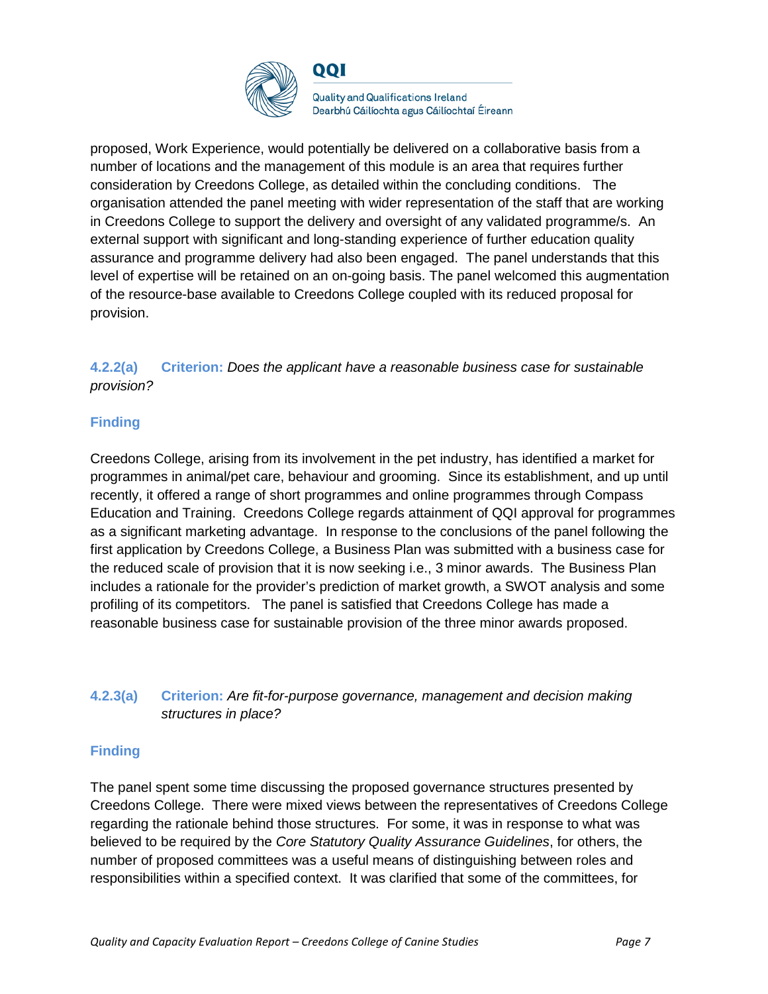

proposed, Work Experience, would potentially be delivered on a collaborative basis from a number of locations and the management of this module is an area that requires further consideration by Creedons College, as detailed within the concluding conditions. The organisation attended the panel meeting with wider representation of the staff that are working in Creedons College to support the delivery and oversight of any validated programme/s. An external support with significant and long-standing experience of further education quality assurance and programme delivery had also been engaged. The panel understands that this level of expertise will be retained on an on-going basis. The panel welcomed this augmentation of the resource-base available to Creedons College coupled with its reduced proposal for provision.

# **4.2.2(a) Criterion:** *Does the applicant have a reasonable business case for sustainable provision?*

# **Finding**

Creedons College, arising from its involvement in the pet industry, has identified a market for programmes in animal/pet care, behaviour and grooming. Since its establishment, and up until recently, it offered a range of short programmes and online programmes through Compass Education and Training. Creedons College regards attainment of QQI approval for programmes as a significant marketing advantage. In response to the conclusions of the panel following the first application by Creedons College, a Business Plan was submitted with a business case for the reduced scale of provision that it is now seeking i.e., 3 minor awards. The Business Plan includes a rationale for the provider's prediction of market growth, a SWOT analysis and some profiling of its competitors. The panel is satisfied that Creedons College has made a reasonable business case for sustainable provision of the three minor awards proposed.

# **4.2.3(a) Criterion:** *Are fit-for-purpose governance, management and decision making structures in place?*

# **Finding**

The panel spent some time discussing the proposed governance structures presented by Creedons College. There were mixed views between the representatives of Creedons College regarding the rationale behind those structures. For some, it was in response to what was believed to be required by the *Core Statutory Quality Assurance Guidelines*, for others, the number of proposed committees was a useful means of distinguishing between roles and responsibilities within a specified context. It was clarified that some of the committees, for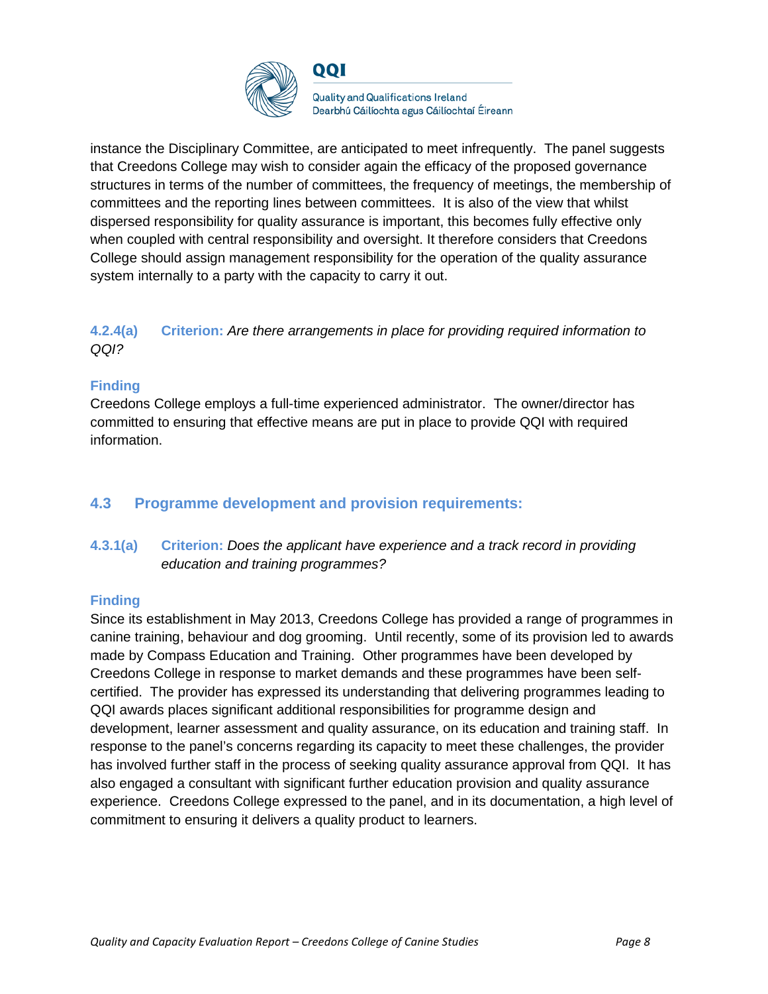

instance the Disciplinary Committee, are anticipated to meet infrequently. The panel suggests that Creedons College may wish to consider again the efficacy of the proposed governance structures in terms of the number of committees, the frequency of meetings, the membership of committees and the reporting lines between committees. It is also of the view that whilst dispersed responsibility for quality assurance is important, this becomes fully effective only when coupled with central responsibility and oversight. It therefore considers that Creedons College should assign management responsibility for the operation of the quality assurance system internally to a party with the capacity to carry it out.

**4.2.4(a) Criterion:** *Are there arrangements in place for providing required information to QQI?*

#### **Finding**

Creedons College employs a full-time experienced administrator. The owner/director has committed to ensuring that effective means are put in place to provide QQI with required information.

# **4.3 Programme development and provision requirements:**

# **4.3.1(a) Criterion:** *Does the applicant have experience and a track record in providing education and training programmes?*

# **Finding**

Since its establishment in May 2013, Creedons College has provided a range of programmes in canine training, behaviour and dog grooming. Until recently, some of its provision led to awards made by Compass Education and Training. Other programmes have been developed by Creedons College in response to market demands and these programmes have been selfcertified. The provider has expressed its understanding that delivering programmes leading to QQI awards places significant additional responsibilities for programme design and development, learner assessment and quality assurance, on its education and training staff. In response to the panel's concerns regarding its capacity to meet these challenges, the provider has involved further staff in the process of seeking quality assurance approval from QQI. It has also engaged a consultant with significant further education provision and quality assurance experience. Creedons College expressed to the panel, and in its documentation, a high level of commitment to ensuring it delivers a quality product to learners.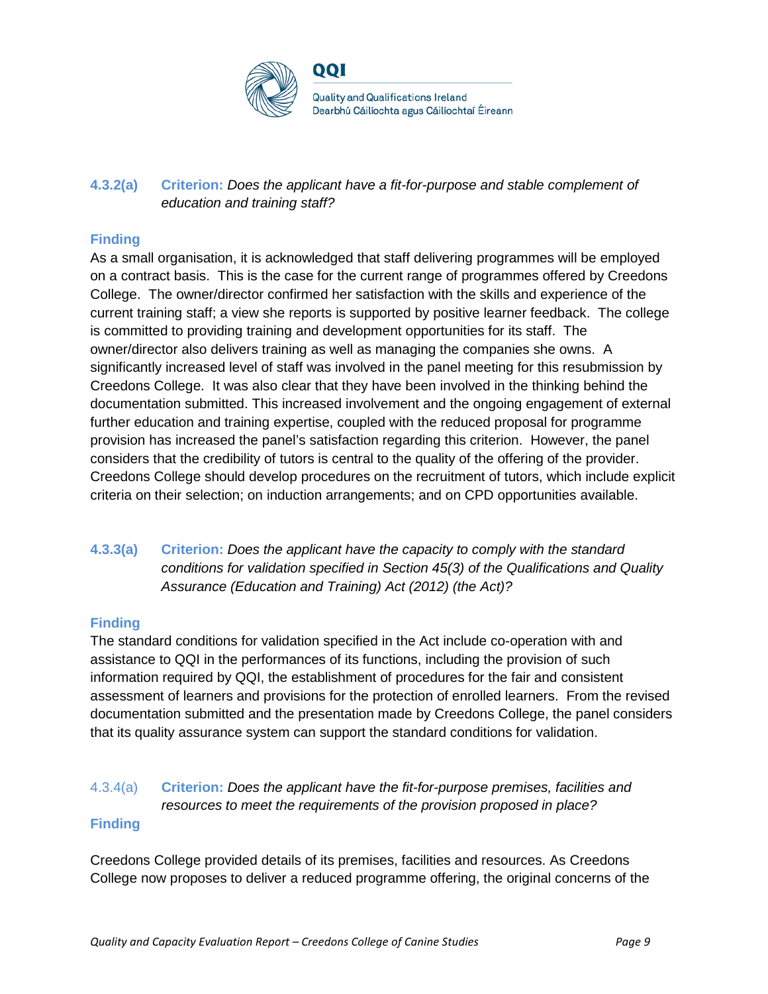

# **4.3.2(a) Criterion:** *Does the applicant have a fit-for-purpose and stable complement of education and training staff?*

### **Finding**

As a small organisation, it is acknowledged that staff delivering programmes will be employed on a contract basis. This is the case for the current range of programmes offered by Creedons College. The owner/director confirmed her satisfaction with the skills and experience of the current training staff; a view she reports is supported by positive learner feedback. The college is committed to providing training and development opportunities for its staff. The owner/director also delivers training as well as managing the companies she owns. A significantly increased level of staff was involved in the panel meeting for this resubmission by Creedons College. It was also clear that they have been involved in the thinking behind the documentation submitted. This increased involvement and the ongoing engagement of external further education and training expertise, coupled with the reduced proposal for programme provision has increased the panel's satisfaction regarding this criterion. However, the panel considers that the credibility of tutors is central to the quality of the offering of the provider. Creedons College should develop procedures on the recruitment of tutors, which include explicit criteria on their selection; on induction arrangements; and on CPD opportunities available.

# **4.3.3(a) Criterion:** *Does the applicant have the capacity to comply with the standard conditions for validation specified in Section 45(3) of the Qualifications and Quality Assurance (Education and Training) Act (2012) (the Act)?*

#### **Finding**

The standard conditions for validation specified in the Act include co-operation with and assistance to QQI in the performances of its functions, including the provision of such information required by QQI, the establishment of procedures for the fair and consistent assessment of learners and provisions for the protection of enrolled learners. From the revised documentation submitted and the presentation made by Creedons College, the panel considers that its quality assurance system can support the standard conditions for validation.

#### 4.3.4(a) **Criterion:** *Does the applicant have the fit-for-purpose premises, facilities and resources to meet the requirements of the provision proposed in place?* **Finding**

Creedons College provided details of its premises, facilities and resources. As Creedons College now proposes to deliver a reduced programme offering, the original concerns of the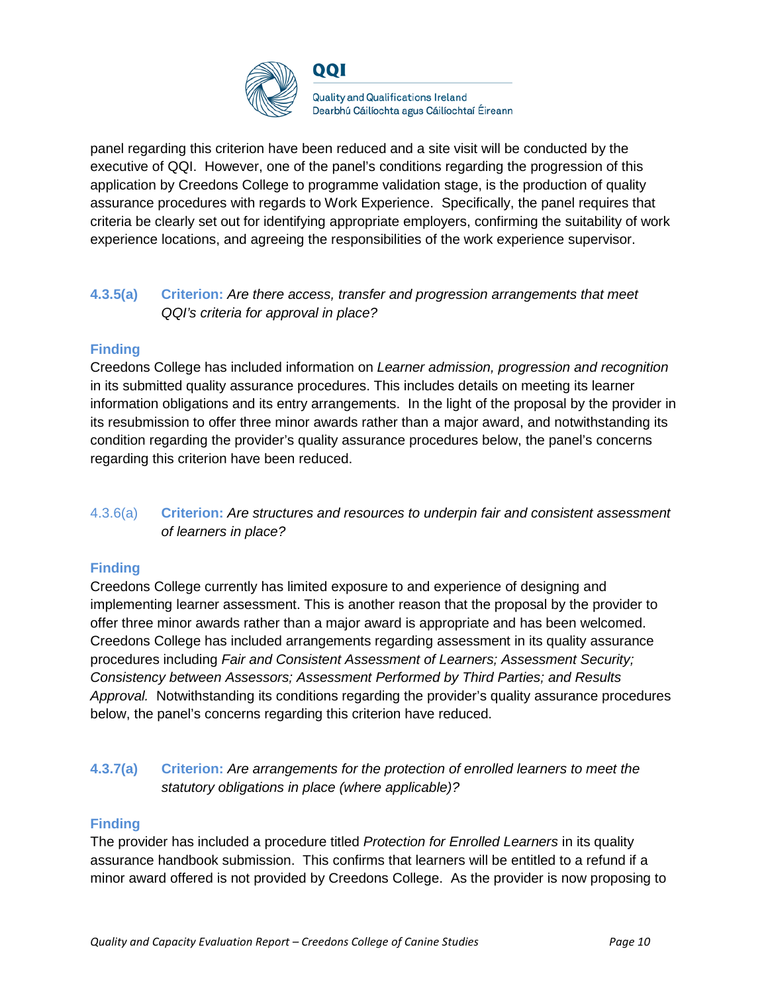

panel regarding this criterion have been reduced and a site visit will be conducted by the executive of QQI. However, one of the panel's conditions regarding the progression of this application by Creedons College to programme validation stage, is the production of quality assurance procedures with regards to Work Experience. Specifically, the panel requires that criteria be clearly set out for identifying appropriate employers, confirming the suitability of work experience locations, and agreeing the responsibilities of the work experience supervisor.

## **4.3.5(a) Criterion:** *Are there access, transfer and progression arrangements that meet QQI's criteria for approval in place?*

# **Finding**

Creedons College has included information on *Learner admission, progression and recognition* in its submitted quality assurance procedures. This includes details on meeting its learner information obligations and its entry arrangements. In the light of the proposal by the provider in its resubmission to offer three minor awards rather than a major award, and notwithstanding its condition regarding the provider's quality assurance procedures below, the panel's concerns regarding this criterion have been reduced.

4.3.6(a) **Criterion:** *Are structures and resources to underpin fair and consistent assessment of learners in place?*

# **Finding**

Creedons College currently has limited exposure to and experience of designing and implementing learner assessment. This is another reason that the proposal by the provider to offer three minor awards rather than a major award is appropriate and has been welcomed. Creedons College has included arrangements regarding assessment in its quality assurance procedures including *Fair and Consistent Assessment of Learners; Assessment Security; Consistency between Assessors; Assessment Performed by Third Parties; and Results Approval.* Notwithstanding its conditions regarding the provider's quality assurance procedures below, the panel's concerns regarding this criterion have reduced.

**4.3.7(a) Criterion:** *Are arrangements for the protection of enrolled learners to meet the statutory obligations in place (where applicable)?*

# **Finding**

The provider has included a procedure titled *Protection for Enrolled Learners* in its quality assurance handbook submission. This confirms that learners will be entitled to a refund if a minor award offered is not provided by Creedons College. As the provider is now proposing to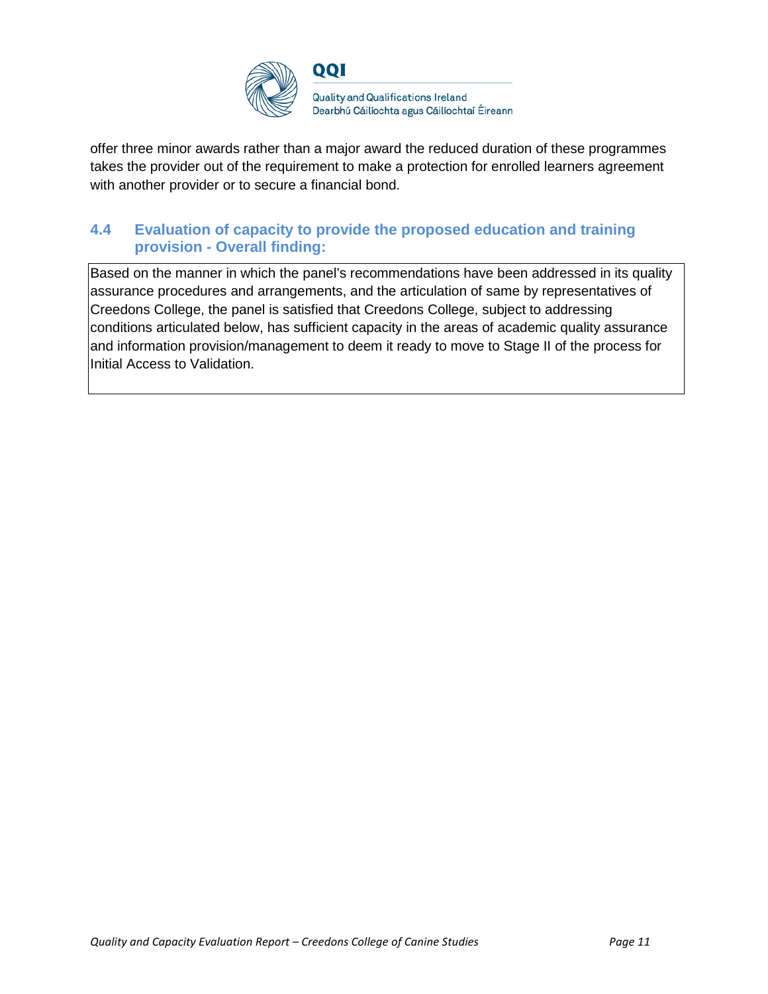

offer three minor awards rather than a major award the reduced duration of these programmes takes the provider out of the requirement to make a protection for enrolled learners agreement with another provider or to secure a financial bond.

# **4.4 Evaluation of capacity to provide the proposed education and training provision - Overall finding:**

Based on the manner in which the panel's recommendations have been addressed in its quality assurance procedures and arrangements, and the articulation of same by representatives of Creedons College, the panel is satisfied that Creedons College, subject to addressing conditions articulated below, has sufficient capacity in the areas of academic quality assurance and information provision/management to deem it ready to move to Stage II of the process for Initial Access to Validation.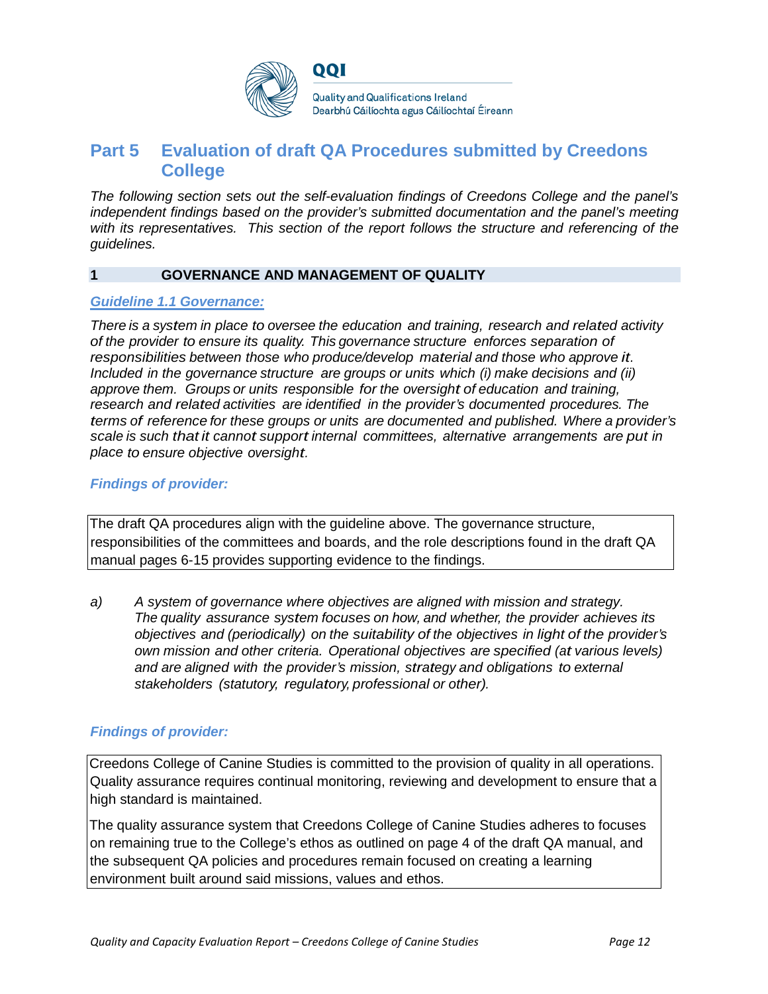

# **Part 5 Evaluation of draft QA Procedures submitted by Creedons College**

*The following section sets out the self-evaluation findings of Creedons College and the panel's independent findings based on the provider's submitted documentation and the panel's meeting with its representatives. This section of the report follows the structure and referencing of the guidelines.* 

#### **1 GOVERNANCE AND MANAGEMENT OF QUALITY**

#### *Guideline 1.1 Governance:*

*There is a system in place to oversee the education and training, research and related activity of the provider to ensure its quality. This governance structure enforces separation of responsibilities between those who produce/develop material and those who approve it. Included in the governance structure are groups or units which (i) make decisions and (ii) approve them. Groups or units responsible for the oversight of education and training, research and related activities are identified in the provider's documented procedures. The terms of reference for these groups or units are documented and published. Where a provider's scale is such that it cannot support internal committees, alternative arrangements are put in place to ensure objective oversight.*

#### *Findings of provider:*

The draft QA procedures align with the guideline above. The governance structure, responsibilities of the committees and boards, and the role descriptions found in the draft QA manual pages 6-15 provides supporting evidence to the findings.

*a) A system of governance where objectives are aligned with mission and strategy. The quality assurance system focuses on how, and whether, the provider achieves its objectives and (periodically) on the suitability of the objectives in light of the provider's own mission and other criteria. Operational objectives are specified (at various levels) and are aligned with the provider's mission, strategy and obligations to external stakeholders (statutory, regulatory, professional or other).*

#### *Findings of provider:*

Creedons College of Canine Studies is committed to the provision of quality in all operations. Quality assurance requires continual monitoring, reviewing and development to ensure that a high standard is maintained.

The quality assurance system that Creedons College of Canine Studies adheres to focuses on remaining true to the College's ethos as outlined on page 4 of the draft QA manual, and the subsequent QA policies and procedures remain focused on creating a learning environment built around said missions, values and ethos.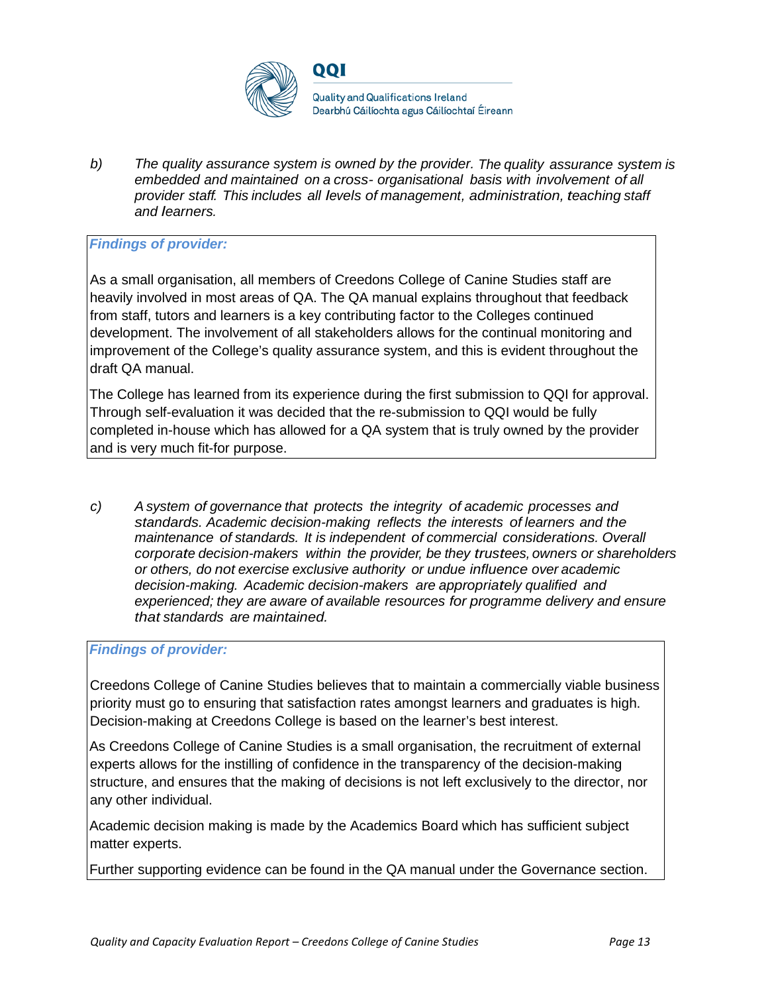

*b) The quality assurance system is owned by the provider. The quality assurance system is embedded and maintained on a cross- organisational basis with involvement of all provider staff. This includes all levels of management, administration, teaching staff and learners.*

### *Findings of provider:*

As a small organisation, all members of Creedons College of Canine Studies staff are heavily involved in most areas of QA. The QA manual explains throughout that feedback from staff, tutors and learners is a key contributing factor to the Colleges continued development. The involvement of all stakeholders allows for the continual monitoring and improvement of the College's quality assurance system, and this is evident throughout the draft QA manual.

The College has learned from its experience during the first submission to QQI for approval. Through self-evaluation it was decided that the re-submission to QQI would be fully completed in-house which has allowed for a QA system that is truly owned by the provider and is very much fit-for purpose.

*c) A system of governance that protects the integrity of academic processes and standards. Academic decision-making reflects the interests of learners and the maintenance of standards. It is independent of commercial considerations. Overall corporate decision-makers within the provider, be they trustees, owners or shareholders or others, do not exercise exclusive authority or undue influence over academic decision-making. Academic decision-makers are appropriately qualified and experienced; they are aware of available resources for programme delivery and ensure that standards are maintained.*

#### *Findings of provider:*

Creedons College of Canine Studies believes that to maintain a commercially viable business priority must go to ensuring that satisfaction rates amongst learners and graduates is high. Decision-making at Creedons College is based on the learner's best interest.

As Creedons College of Canine Studies is a small organisation, the recruitment of external experts allows for the instilling of confidence in the transparency of the decision-making structure, and ensures that the making of decisions is not left exclusively to the director, nor any other individual.

Academic decision making is made by the Academics Board which has sufficient subject matter experts.

Further supporting evidence can be found in the QA manual under the Governance section.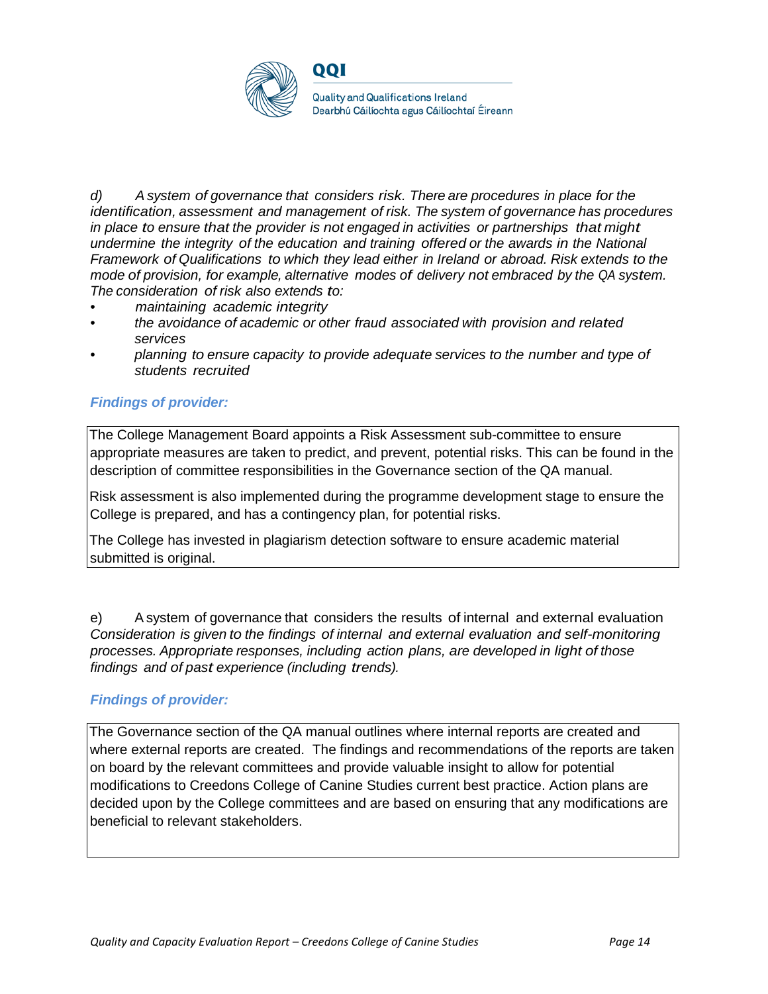

*d) A system of governance that considers risk. There are procedures in place for the identification, assessment and management of risk. The system of governance has procedures in place to ensure that the provider is not engaged in activities or partnerships that might undermine the integrity of the education and training offered or the awards in the National Framework of Qualifications to which they lead either in Ireland or abroad. Risk extends to the mode of provision, for example, alternative modes of delivery not embraced by the QA system. The consideration of risk also extends to:*

- *• maintaining academic integrity*
- *• the avoidance of academic or other fraud associated with provision and related services*
- *• planning to ensure capacity to provide adequate services to the number and type of students recruited*

#### *Findings of provider:*

The College Management Board appoints a Risk Assessment sub-committee to ensure appropriate measures are taken to predict, and prevent, potential risks. This can be found in the description of committee responsibilities in the Governance section of the QA manual.

Risk assessment is also implemented during the programme development stage to ensure the College is prepared, and has a contingency plan, for potential risks.

The College has invested in plagiarism detection software to ensure academic material submitted is original.

e) A system of governance that considers the results of internal and external evaluation *Consideration is given to the findings of internal and external evaluation and self-monitoring processes. Appropriate responses, including action plans, are developed in light of those findings and of past experience (including trends).*

#### *Findings of provider:*

The Governance section of the QA manual outlines where internal reports are created and where external reports are created. The findings and recommendations of the reports are taken on board by the relevant committees and provide valuable insight to allow for potential modifications to Creedons College of Canine Studies current best practice. Action plans are decided upon by the College committees and are based on ensuring that any modifications are beneficial to relevant stakeholders.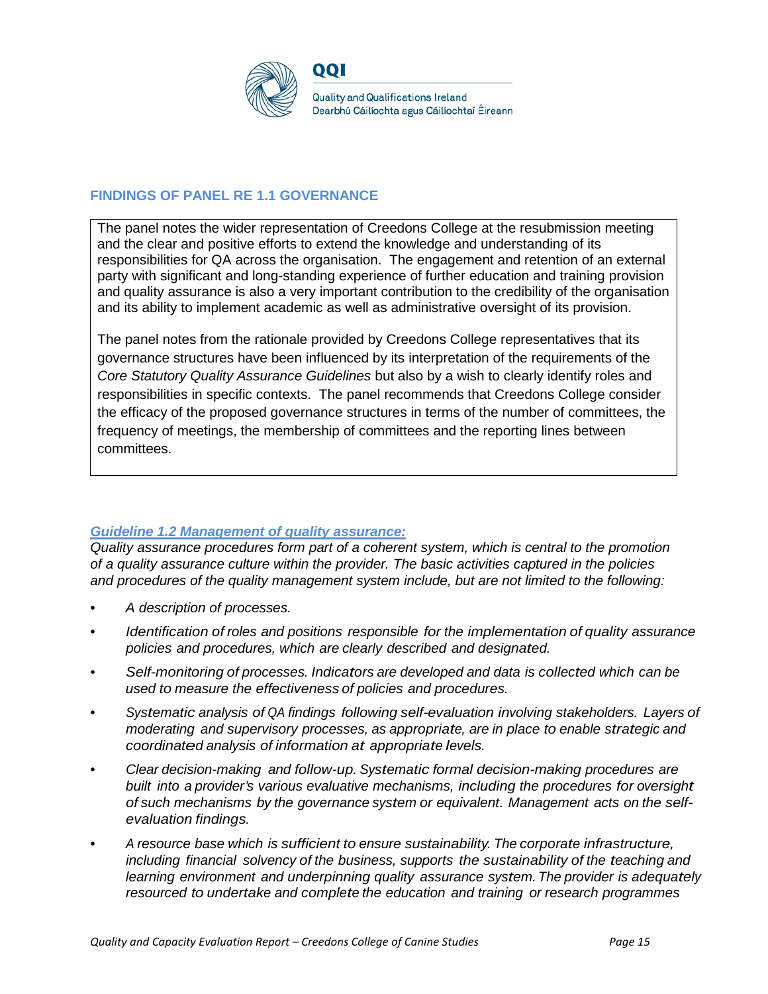

### **FINDINGS OF PANEL RE 1.1 GOVERNANCE**

The panel notes the wider representation of Creedons College at the resubmission meeting and the clear and positive efforts to extend the knowledge and understanding of its responsibilities for QA across the organisation. The engagement and retention of an external party with significant and long-standing experience of further education and training provision and quality assurance is also a very important contribution to the credibility of the organisation and its ability to implement academic as well as administrative oversight of its provision.

The panel notes from the rationale provided by Creedons College representatives that its governance structures have been influenced by its interpretation of the requirements of the *Core Statutory Quality Assurance Guidelines* but also by a wish to clearly identify roles and responsibilities in specific contexts. The panel recommends that Creedons College consider the efficacy of the proposed governance structures in terms of the number of committees, the frequency of meetings, the membership of committees and the reporting lines between committees.

# *Guideline 1.2 Management of quality assurance:*

*Quality assurance procedures form part of a coherent system, which is central to the promotion of a quality assurance culture within the provider. The basic activities captured in the policies and procedures of the quality management system include, but are not limited to the following:*

- *A description of processes.*
- *• Identification of roles and positions responsible for the implementation of quality assurance policies and procedures, which are clearly described and designated.*
- *• Self-monitoring of processes. Indicators are developed and data is collected which can be used to measure the effectiveness of policies and procedures.*
- *• Systematic analysis of QA findings following self-evaluation involving stakeholders. Layers of moderating and supervisory processes, as appropriate, are in place to enable strategic and coordinated analysis of information at appropriate levels.*
- *• Clear decision-making and follow-up. Systematic formal decision-making procedures are built into a provider's various evaluative mechanisms, including the procedures for oversight of such mechanisms by the governance system or equivalent. Management acts on the selfevaluation findings.*
- *• <sup>A</sup> resource base which is sufficient to ensure sustainability. The corporate infrastructure, including financial solvency of the business, supports the sustainability of the teaching and learning environment and underpinning quality assurance system.The provider is adequately resourced to undertake and complete the education and training or research programmes*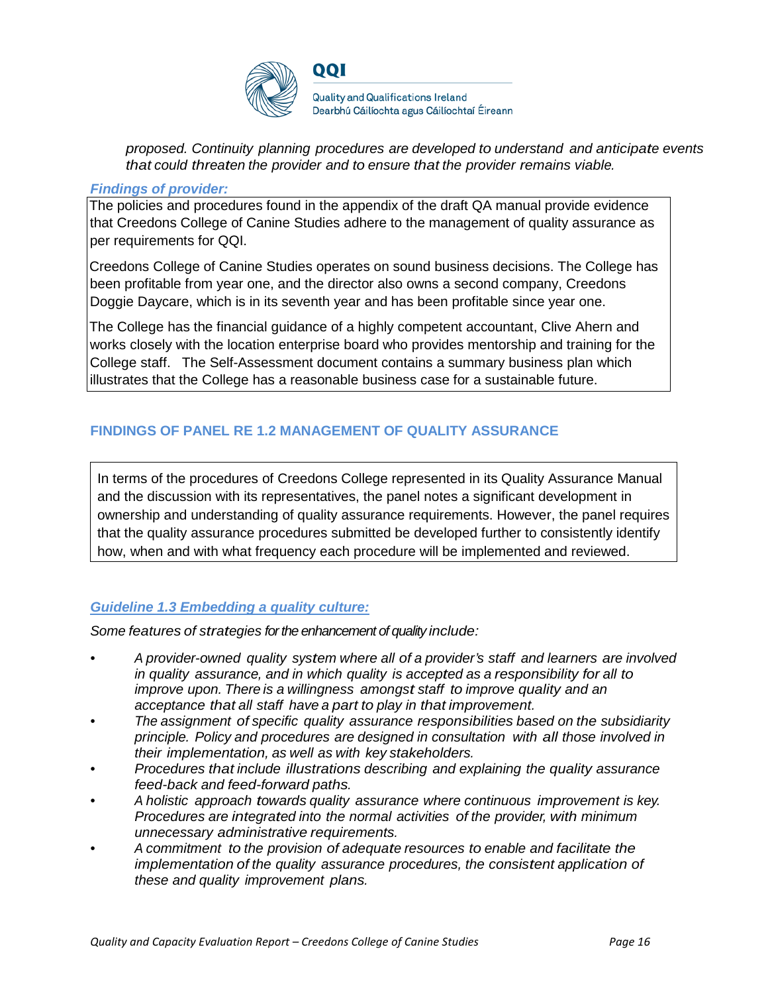

*proposed. Continuity planning procedures are developed to understand and anticipate events that could threaten the provider and to ensure that the provider remains viable.*

#### *Findings of provider:*

The policies and procedures found in the appendix of the draft QA manual provide evidence that Creedons College of Canine Studies adhere to the management of quality assurance as per requirements for QQI.

Creedons College of Canine Studies operates on sound business decisions. The College has been profitable from year one, and the director also owns a second company, Creedons Doggie Daycare, which is in its seventh year and has been profitable since year one.

The College has the financial guidance of a highly competent accountant, Clive Ahern and works closely with the location enterprise board who provides mentorship and training for the College staff. The Self-Assessment document contains a summary business plan which illustrates that the College has a reasonable business case for a sustainable future.

# **FINDINGS OF PANEL RE 1.2 MANAGEMENT OF QUALITY ASSURANCE**

In terms of the procedures of Creedons College represented in its Quality Assurance Manual and the discussion with its representatives, the panel notes a significant development in ownership and understanding of quality assurance requirements. However, the panel requires that the quality assurance procedures submitted be developed further to consistently identify how, when and with what frequency each procedure will be implemented and reviewed.

# *Guideline 1.3 Embedding a quality culture:*

*Some features of strategies for the enhancement of quality include:*

- *• <sup>A</sup> provider-owned quality system where all of a provider's staff and learners are involved in quality assurance, and in which quality is accepted as a responsibility for all to improve upon. There is a willingness amongst staff to improve quality and an acceptance that all staff have a part to play in that improvement.*
- *• The assignment of specific quality assurance responsibilities based on the subsidiarity principle. Policy and procedures are designed in consultation with all those involved in their implementation, as well as with key stakeholders.*
- *• Procedures that include illustrations describing and explaining the quality assurance feed-back and feed-forward paths.*
- *• <sup>A</sup> holistic approach towards quality assurance where continuous improvement is key. Procedures are integrated into the normal activities of the provider, with minimum unnecessary administrative requirements.*
- *• <sup>A</sup> commitment to the provision of adequate resources to enable and facilitate the implementation of the quality assurance procedures, the consistent application of these and quality improvement plans.*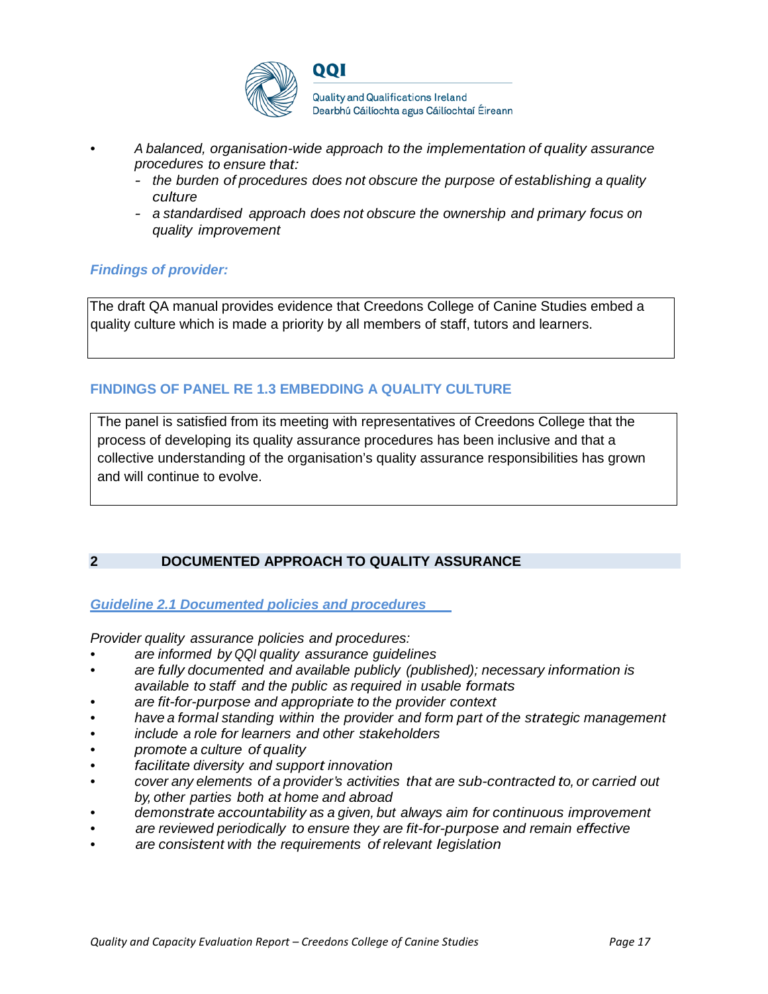

- *• A balanced, organisation-wide approach to the implementation of quality assurance procedures to ensure that:*
	- *- the burden of procedures does not obscure the purpose of establishing a quality culture*
	- *- a standardised approach does not obscure the ownership and primary focus on quality improvement*

The draft QA manual provides evidence that Creedons College of Canine Studies embed a quality culture which is made a priority by all members of staff, tutors and learners.

### **FINDINGS OF PANEL RE 1.3 EMBEDDING A QUALITY CULTURE**

The panel is satisfied from its meeting with representatives of Creedons College that the process of developing its quality assurance procedures has been inclusive and that a collective understanding of the organisation's quality assurance responsibilities has grown and will continue to evolve.

#### **2 DOCUMENTED APPROACH TO QUALITY ASSURANCE**

#### *Guideline 2.1 Documented policies and procedures*

*Provider quality assurance policies and procedures:*

- *• are informed by QQI quality assurance guidelines*
- *• are fully documented and available publicly (published); necessary information is available to staff and the public as required in usable formats*
- *• are fit-for-purpose and appropriate to the provider context*
- *• have a formal standing within the provider and form part of the strategic management*
- *• include a role for learners and other stakeholders*
- *• promote a culture of quality*
- *• facilitate diversity and support innovation*
- *• cover any elements of a provider's activities that are sub-contracted to, or carried out by, other parties both at home and abroad*
- *• demonstrate accountability as a given, but always aim for continuous improvement*
- *• are reviewed periodically to ensure they are fit-for-purpose and remain effective*
- *• are consistent with the requirements of relevant legislation*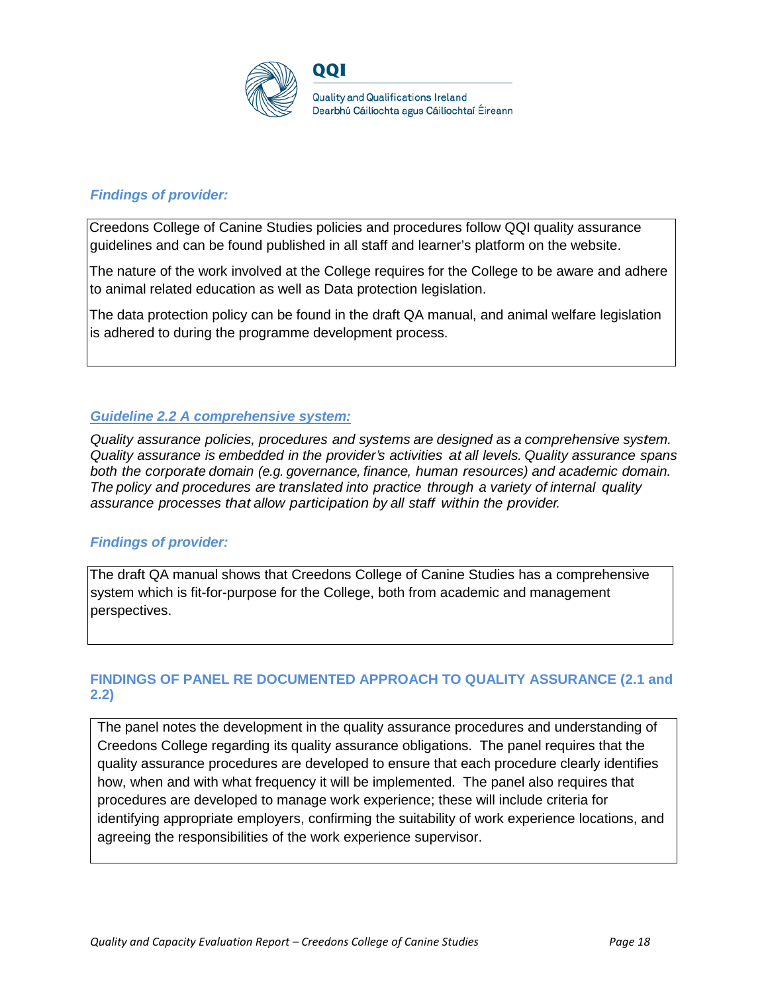

Creedons College of Canine Studies policies and procedures follow QQI quality assurance guidelines and can be found published in all staff and learner's platform on the website.

The nature of the work involved at the College requires for the College to be aware and adhere to animal related education as well as Data protection legislation.

The data protection policy can be found in the draft QA manual, and animal welfare legislation is adhered to during the programme development process.

#### *Guideline 2.2 A comprehensive system:*

*Quality assurance policies, procedures and systems are designed as a comprehensive system. Quality assurance is embedded in the provider's activities at all levels. Quality assurance spans both the corporate domain (e.g. governance, finance, human resources) and academic domain. The policy and procedures are translated into practice through a variety of internal quality assurance processes that allow participation by all staff within the provider.*

#### *Findings of provider:*

The draft QA manual shows that Creedons College of Canine Studies has a comprehensive system which is fit-for-purpose for the College, both from academic and management perspectives.

### **FINDINGS OF PANEL RE DOCUMENTED APPROACH TO QUALITY ASSURANCE (2.1 and 2.2)**

The panel notes the development in the quality assurance procedures and understanding of Creedons College regarding its quality assurance obligations. The panel requires that the quality assurance procedures are developed to ensure that each procedure clearly identifies how, when and with what frequency it will be implemented. The panel also requires that procedures are developed to manage work experience; these will include criteria for identifying appropriate employers, confirming the suitability of work experience locations, and agreeing the responsibilities of the work experience supervisor.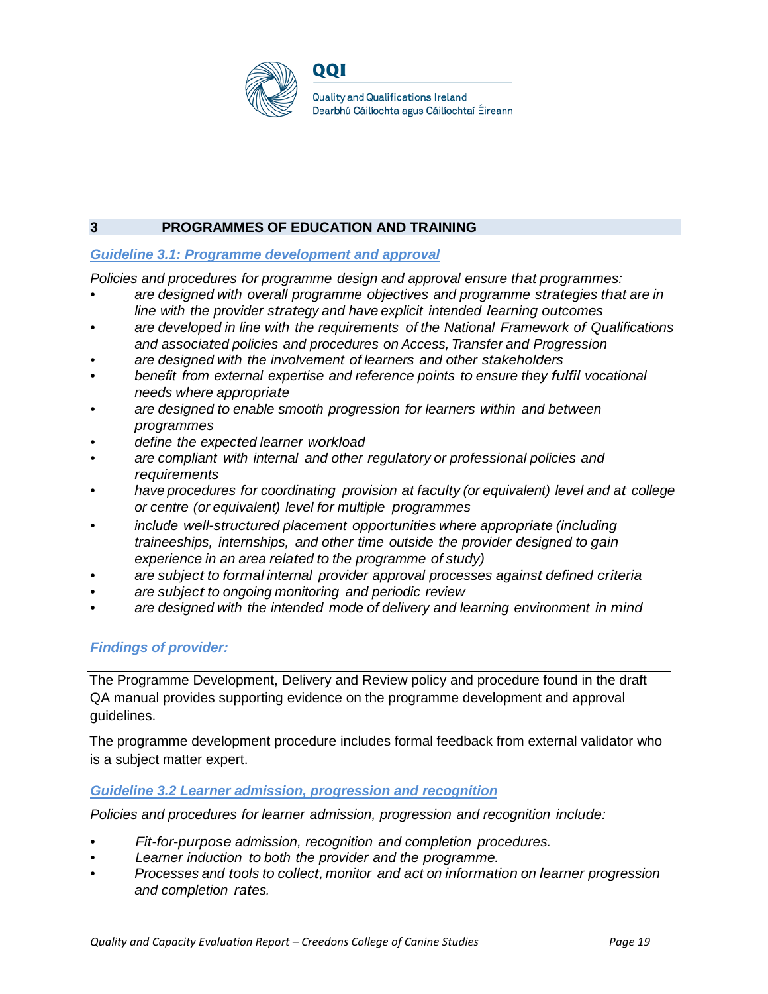

### **3 PROGRAMMES OF EDUCATION AND TRAINING**

#### *Guideline 3.1: Programme development and approval*

*Policies and procedures for programme design and approval ensure that programmes:*

- *• are designed with overall programme objectives and programme strategies that are in line with the provider strategy and have explicit intended learning outcomes*
- *• are developed in line with the requirements of the National Framework of Qualifications and associated policies and procedures on Access, Transfer and Progression*
- *• are designed with the involvement of learners and other stakeholders*
- *• benefit from external expertise and reference points to ensure they fulfil vocational needs where appropriate*
- *• are designed to enable smooth progression for learners within and between programmes*
- *• define the expected learner workload*
- *• are compliant with internal and other regulatory or professional policies and requirements*
- *• have procedures for coordinating provision at faculty (or equivalent) level and at college or centre (or equivalent) level for multiple programmes*
- *• include well-structured placement opportunities where appropriate (including traineeships, internships, and other time outside the provider designed to gain experience in an area related to the programme of study)*
- *• are subject to formal internal provider approval processes against defined criteria*
- *• are subject to ongoing monitoring and periodic review*
- *• are designed with the intended mode of delivery and learning environment in mind*

#### *Findings of provider:*

The Programme Development, Delivery and Review policy and procedure found in the draft QA manual provides supporting evidence on the programme development and approval guidelines.

The programme development procedure includes formal feedback from external validator who is a subject matter expert.

#### *Guideline 3.2 Learner admission, progression and recognition*

*Policies and procedures for learner admission, progression and recognition include:*

- *• Fit-for-purpose admission, recognition and completion procedures.*
- *• Learner induction to both the provider and the programme.*
- *• Processes and tools to collect, monitor and act on information on learner progression and completion rates.*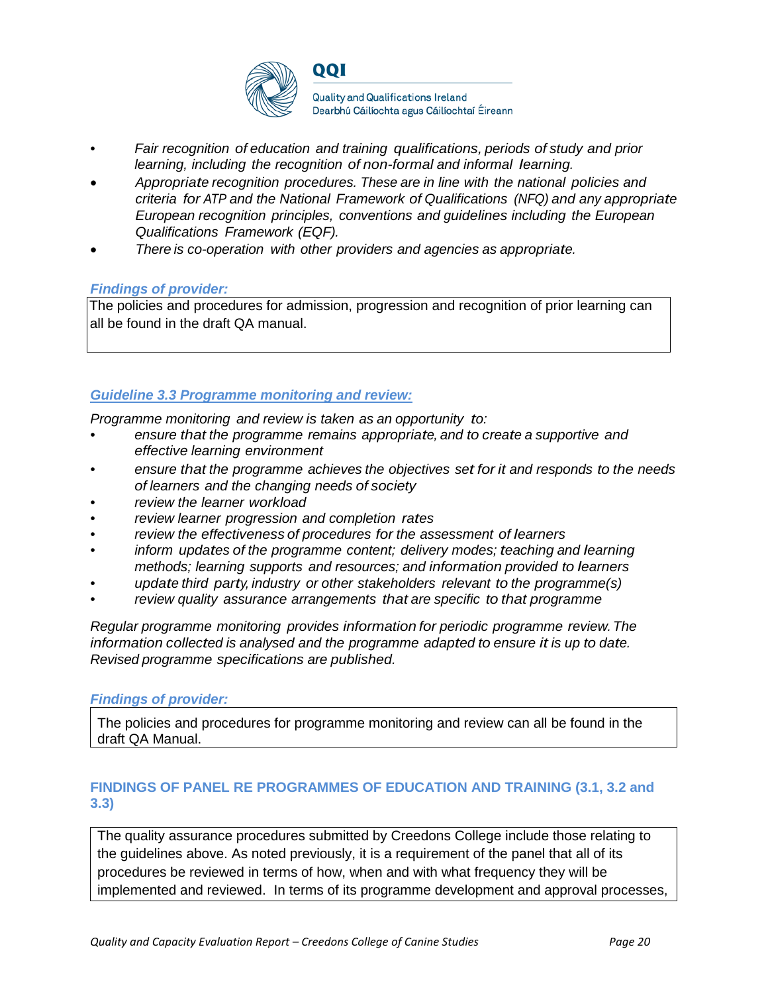

- *• Fair recognition of education and training qualifications, periods of study and prior learning, including the recognition of non-formal and informal learning.*
- *Appropriate recognition procedures. These are in line with the national policies and criteria for ATP and the National Framework of Qualifications (NFQ) and any appropriate European recognition principles, conventions and guidelines including the European Qualifications Framework (EQF).*
- *There is co-operation with other providers and agencies as appropriate.*

The policies and procedures for admission, progression and recognition of prior learning can all be found in the draft QA manual.

#### *Guideline 3.3 Programme monitoring and review:*

*Programme monitoring and review is taken as an opportunity to:*

- *• ensure that the programme remains appropriate, and to create a supportive and effective learning environment*
- *• ensure that the programme achieves the objectives set for it and responds to the needs of learners and the changing needs of society*
- *• review the learner workload*
- *• review learner progression and completion rates*
- *• review the effectiveness of procedures for the assessment of learners*
- *• inform updates of the programme content; delivery modes; teaching and learning methods; learning supports and resources; and information provided to learners*
- *• update third party, industry or other stakeholders relevant to the programme(s)*
- *• review quality assurance arrangements that are specific to that programme*

*Regular programme monitoring provides information for periodic programme review.The information collected is analysed and the programme adapted to ensure it is up to date. Revised programme specifications are published.*

#### *Findings of provider:*

The policies and procedures for programme monitoring and review can all be found in the draft QA Manual.

### **FINDINGS OF PANEL RE PROGRAMMES OF EDUCATION AND TRAINING (3.1, 3.2 and 3.3)**

The quality assurance procedures submitted by Creedons College include those relating to the guidelines above. As noted previously, it is a requirement of the panel that all of its procedures be reviewed in terms of how, when and with what frequency they will be implemented and reviewed. In terms of its programme development and approval processes,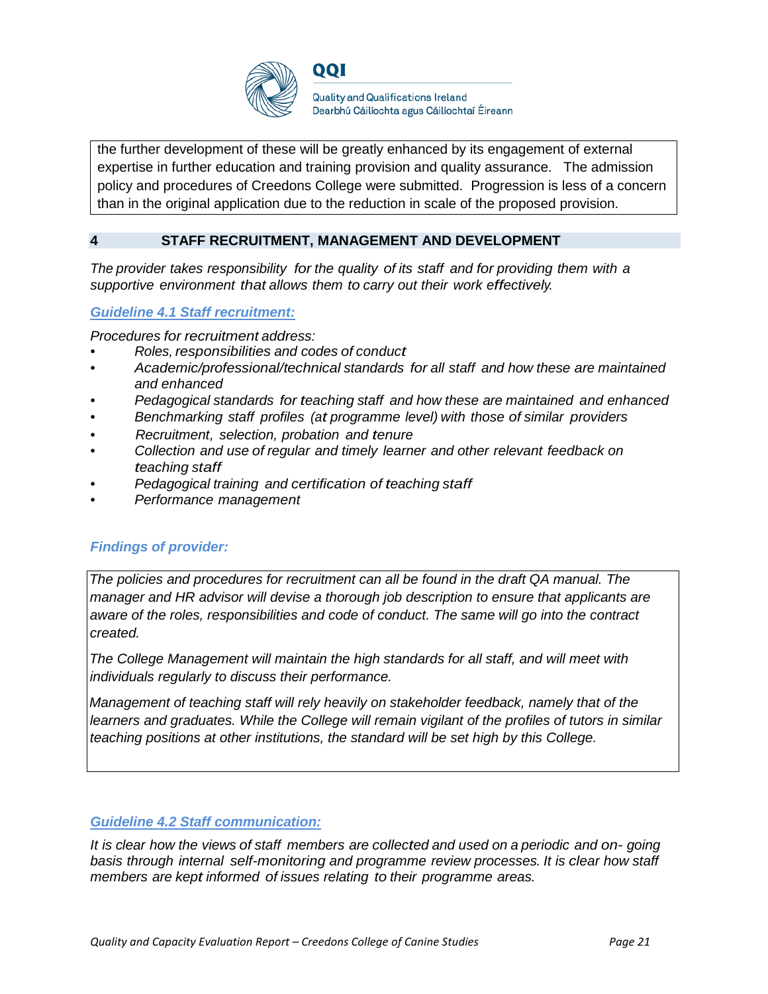

the further development of these will be greatly enhanced by its engagement of external expertise in further education and training provision and quality assurance. The admission policy and procedures of Creedons College were submitted. Progression is less of a concern than in the original application due to the reduction in scale of the proposed provision.

### **4 STAFF RECRUITMENT, MANAGEMENT AND DEVELOPMENT**

*The provider takes responsibility for the quality of its staff and for providing them with a supportive environment that allows them to carry out their work effectively.*

#### *Guideline 4.1 Staff recruitment:*

*Procedures for recruitment address:*

- *• Roles, responsibilities and codes of conduct*
- *• Academic/professional/technical standards for all staff and how these are maintained and enhanced*
- *• Pedagogical standards for teaching staff and how these are maintained and enhanced*
- *• Benchmarking staff profiles (at programme level) with those of similar providers*
- *• Recruitment, selection, probation and tenure*
- *• Collection and use of regular and timely learner and other relevant feedback on teaching staff*
- *• Pedagogical training and certification of teaching staff*
- *• Performance management*

#### *Findings of provider:*

*The policies and procedures for recruitment can all be found in the draft QA manual. The manager and HR advisor will devise a thorough job description to ensure that applicants are aware of the roles, responsibilities and code of conduct. The same will go into the contract created.* 

*The College Management will maintain the high standards for all staff, and will meet with individuals regularly to discuss their performance.* 

*Management of teaching staff will rely heavily on stakeholder feedback, namely that of the* learners and graduates. While the College will remain vigilant of the profiles of tutors in similar *teaching positions at other institutions, the standard will be set high by this College.* 

#### *Guideline 4.2 Staff communication:*

It is clear how the views of staff members are collected and used on a periodic and on- going *basis through internal self-monitoring and programme review processes. It is clear how staff members are kept informed of issues relating to their programme areas.*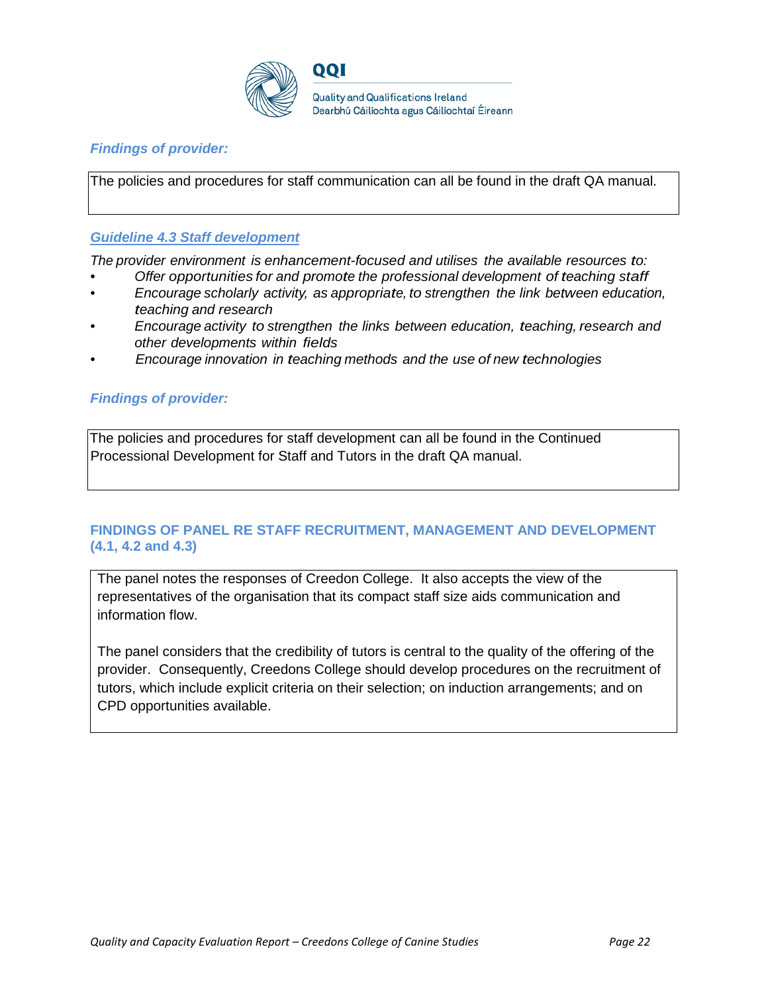

The policies and procedures for staff communication can all be found in the draft QA manual.

#### *Guideline 4.3 Staff development*

*The provider environment is enhancement-focused and utilises the available resources to:*

- *• Offer opportunities for and promote the professional development of teaching staff*
- *• Encourage scholarly activity, as appropriate, to strengthen the link between education, teaching and research*
- *• Encourage activity to strengthen the links between education, teaching, research and other developments within fields*
- *• Encourage innovation in teaching methods and the use of new technologies*

#### *Findings of provider:*

The policies and procedures for staff development can all be found in the Continued Processional Development for Staff and Tutors in the draft QA manual.

#### **FINDINGS OF PANEL RE STAFF RECRUITMENT, MANAGEMENT AND DEVELOPMENT (4.1, 4.2 and 4.3)**

The panel notes the responses of Creedon College. It also accepts the view of the representatives of the organisation that its compact staff size aids communication and information flow.

The panel considers that the credibility of tutors is central to the quality of the offering of the provider. Consequently, Creedons College should develop procedures on the recruitment of tutors, which include explicit criteria on their selection; on induction arrangements; and on CPD opportunities available.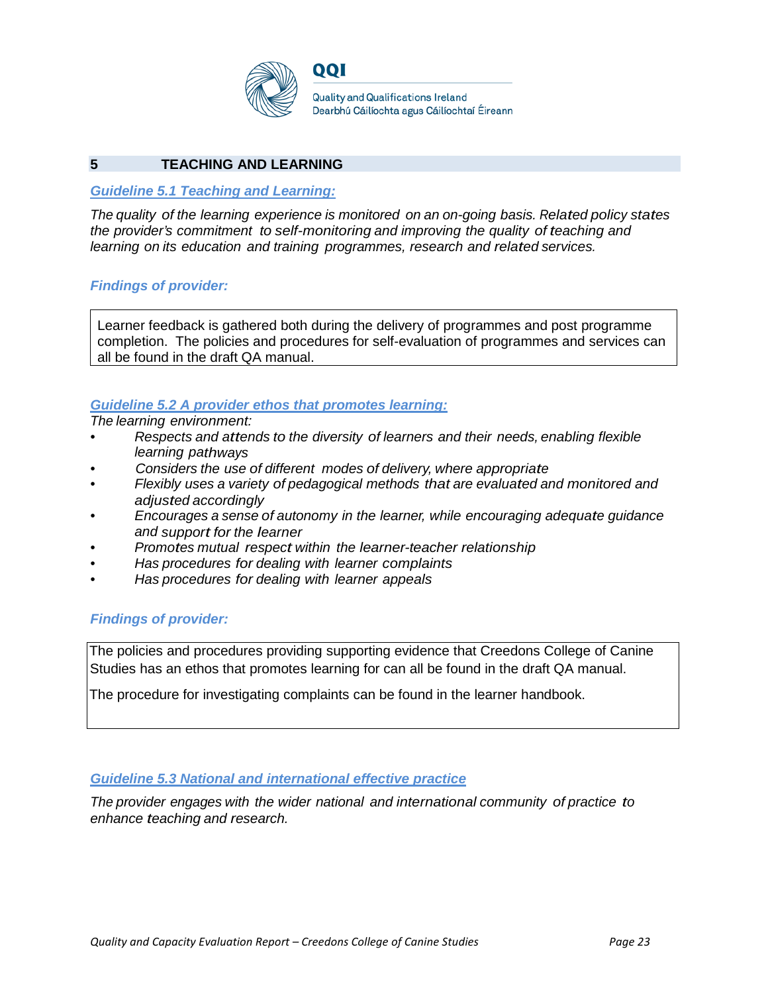

#### **5 TEACHING AND LEARNING**

#### *Guideline 5.1 Teaching and Learning:*

*The quality of the learning experience is monitored on an on-going basis. Related policy states the provider's commitment to self-monitoring and improving the quality of teaching and learning on its education and training programmes, research and related services.*

#### *Findings of provider:*

Learner feedback is gathered both during the delivery of programmes and post programme completion. The policies and procedures for self-evaluation of programmes and services can all be found in the draft QA manual.

#### *Guideline 5.2 A provider ethos that promotes learning:*

#### *The learning environment:*

- *• Respects and attends to the diversity of learners and their needs, enabling flexible learning pathways*
- *• Considers the use of different modes of delivery, where appropriate*
- *• Flexibly uses a variety of pedagogical methods that are evaluated and monitored and adjusted accordingly*
- *• Encourages a sense of autonomy in the learner, while encouraging adequate guidance and support for the learner*
- *• Promotes mutual respect within the learner-teacher relationship*
- *• Has procedures for dealing with learner complaints*
- *• Has procedures for dealing with learner appeals*

#### *Findings of provider:*

The policies and procedures providing supporting evidence that Creedons College of Canine Studies has an ethos that promotes learning for can all be found in the draft QA manual.

The procedure for investigating complaints can be found in the learner handbook.

#### *Guideline 5.3 National and international effective practice*

*The provider engages with the wider national and international community of practice to enhance teaching and research.*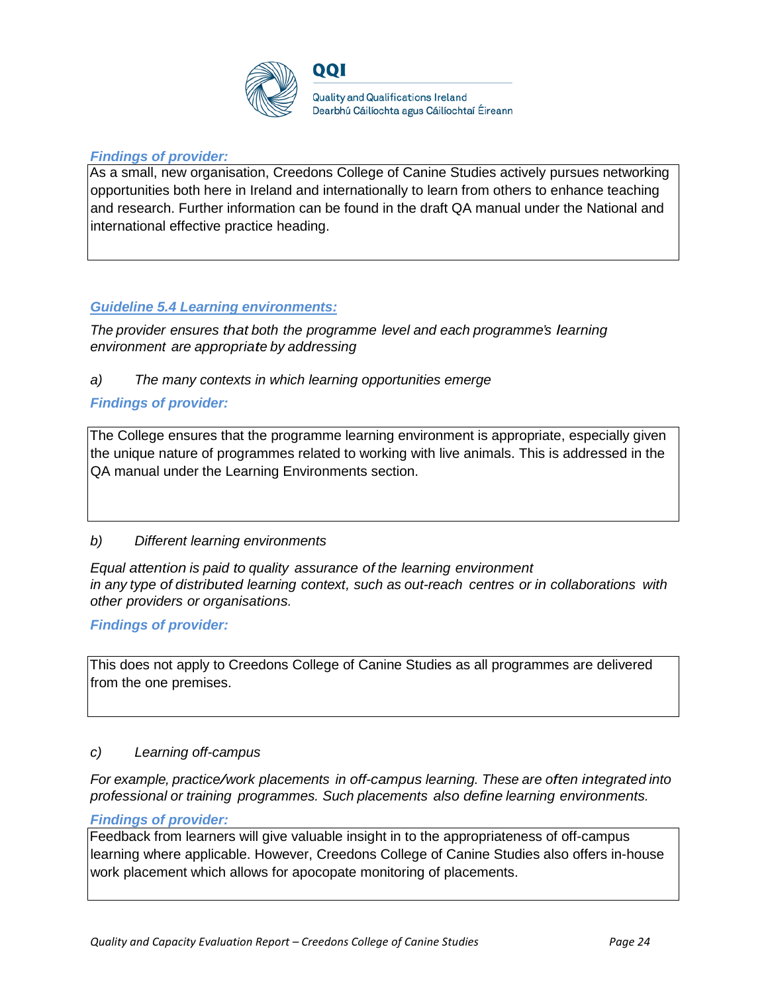

As a small, new organisation, Creedons College of Canine Studies actively pursues networking opportunities both here in Ireland and internationally to learn from others to enhance teaching and research. Further information can be found in the draft QA manual under the National and international effective practice heading.

### *Guideline 5.4 Learning environments:*

*The provider ensures that both the programme level and each programme's learning environment are appropriate by addressing* 

*a) The many contexts in which learning opportunities emerge*

### *Findings of provider:*

The College ensures that the programme learning environment is appropriate, especially given the unique nature of programmes related to working with live animals. This is addressed in the QA manual under the Learning Environments section.

#### *b) Different learning environments*

*Equal attention is paid to quality assurance of the learning environment in any type of distributed learning context, such as out-reach centres or in collaborations with other providers or organisations.*

#### *Findings of provider:*

This does not apply to Creedons College of Canine Studies as all programmes are delivered from the one premises.

#### *c) Learning off-campus*

*For example, practice/work placements in off-campus learning. These are often integrated into professional or training programmes. Such placements also define learning environments.*

#### *Findings of provider:*

Feedback from learners will give valuable insight in to the appropriateness of off-campus learning where applicable. However, Creedons College of Canine Studies also offers in-house work placement which allows for apocopate monitoring of placements.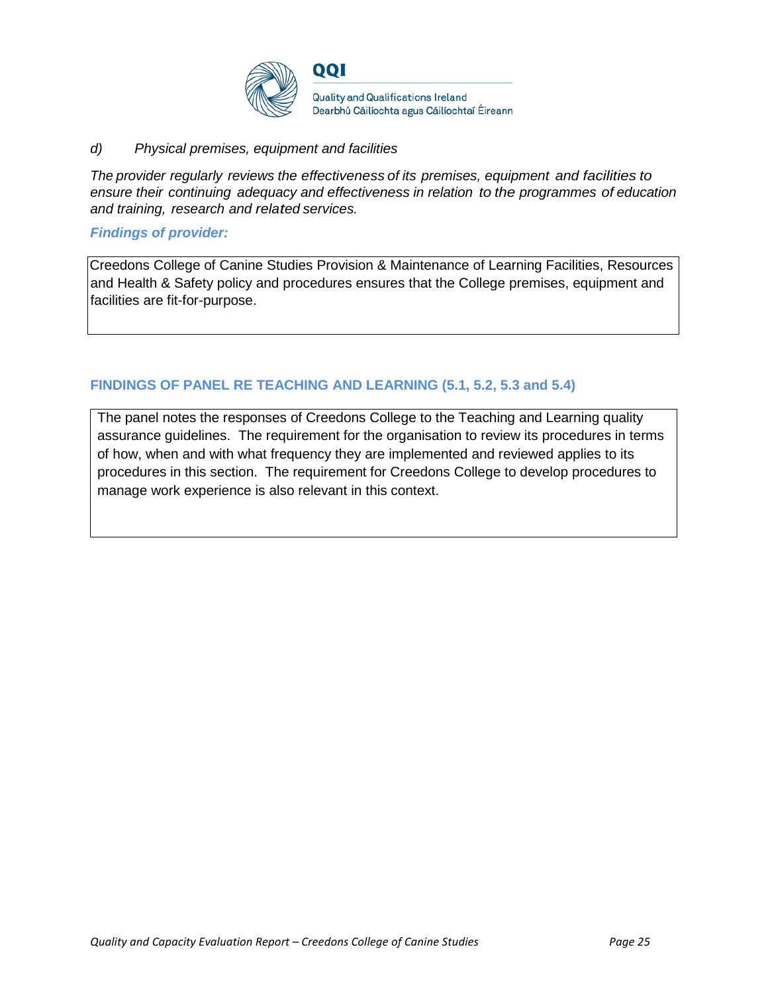

#### *d) Physical premises, equipment and facilities*

*The provider regularly reviews the effectiveness of its premises, equipment and facilities to ensure their continuing adequacy and effectiveness in relation to the programmes of education and training, research and related services.*

#### *Findings of provider:*

Creedons College of Canine Studies Provision & Maintenance of Learning Facilities, Resources and Health & Safety policy and procedures ensures that the College premises, equipment and facilities are fit-for-purpose.

### **FINDINGS OF PANEL RE TEACHING AND LEARNING (5.1, 5.2, 5.3 and 5.4)**

The panel notes the responses of Creedons College to the Teaching and Learning quality assurance guidelines. The requirement for the organisation to review its procedures in terms of how, when and with what frequency they are implemented and reviewed applies to its procedures in this section. The requirement for Creedons College to develop procedures to manage work experience is also relevant in this context.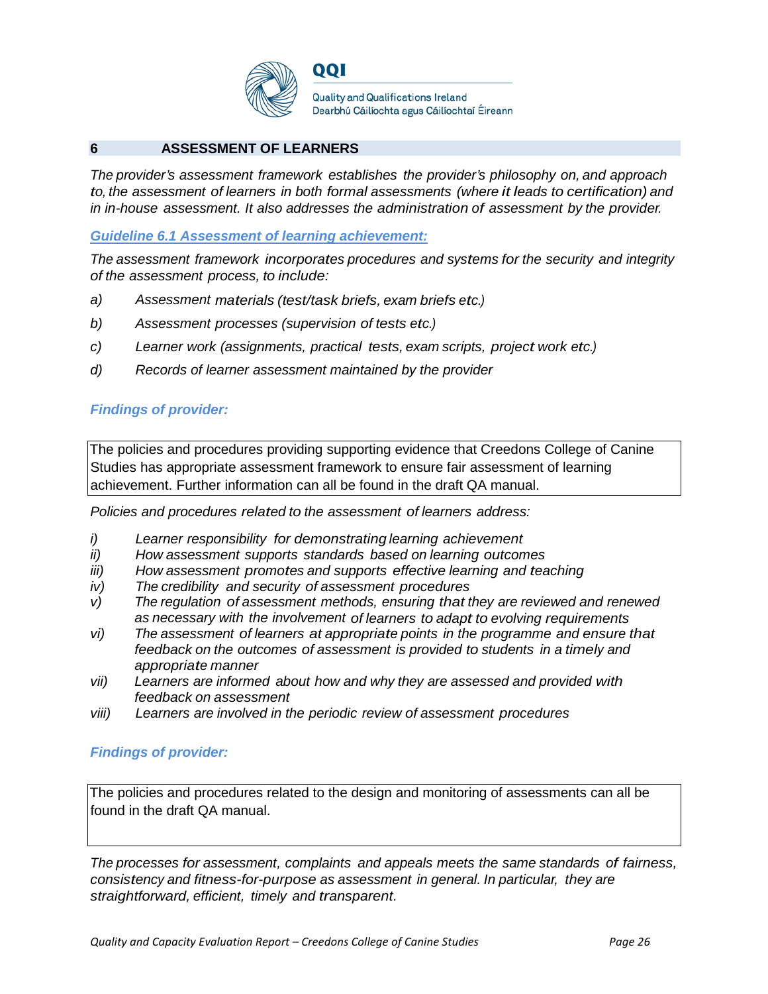

#### **6 ASSESSMENT OF LEARNERS**

*The provider's assessment framework establishes the provider's philosophy on, and approach to, the assessment of learners in both formal assessments (where it leads to certification) and in in-house assessment. It also addresses the administration of assessment by the provider.*

*Guideline 6.1 Assessment of learning achievement:*

*The assessment framework incorporates procedures and systems for the security and integrity of the assessment process, to include:*

- *a) Assessment materials (test/task briefs, exam briefs etc.)*
- *b) Assessment processes (supervision of tests etc.)*
- *c) Learner work (assignments, practical tests, exam scripts, project work etc.)*
- *d) Records of learner assessment maintained by the provider*

### *Findings of provider:*

The policies and procedures providing supporting evidence that Creedons College of Canine Studies has appropriate assessment framework to ensure fair assessment of learning achievement. Further information can all be found in the draft QA manual.

*Policies and procedures related to the assessment of learners address:*

- *i) Learner responsibility for demonstrating learning achievement*
- *ii) How assessment supports standards based on learning outcomes*
- *iii) How assessment promotes and supports effective learning and teaching*
- *iv) The credibility and security of assessment procedures*
- *v) The regulation of assessment methods, ensuring that they are reviewed and renewed as necessary with the involvement of learners to adapt to evolving requirements*
- *vi) The assessment of learners at appropriate points in the programme and ensure that feedback on the outcomes of assessment is provided to students in a timely and appropriate manner*
- *vii) Learners are informed about how and why they are assessed and provided with feedback on assessment*
- *viii) Learners are involved in the periodic review of assessment procedures*

#### *Findings of provider:*

The policies and procedures related to the design and monitoring of assessments can all be found in the draft QA manual.

*The processes for assessment, complaints and appeals meets the same standards of fairness, consistency and fitness-for-purpose as assessment in general. In particular, they are straightforward, efficient, timely and transparent.*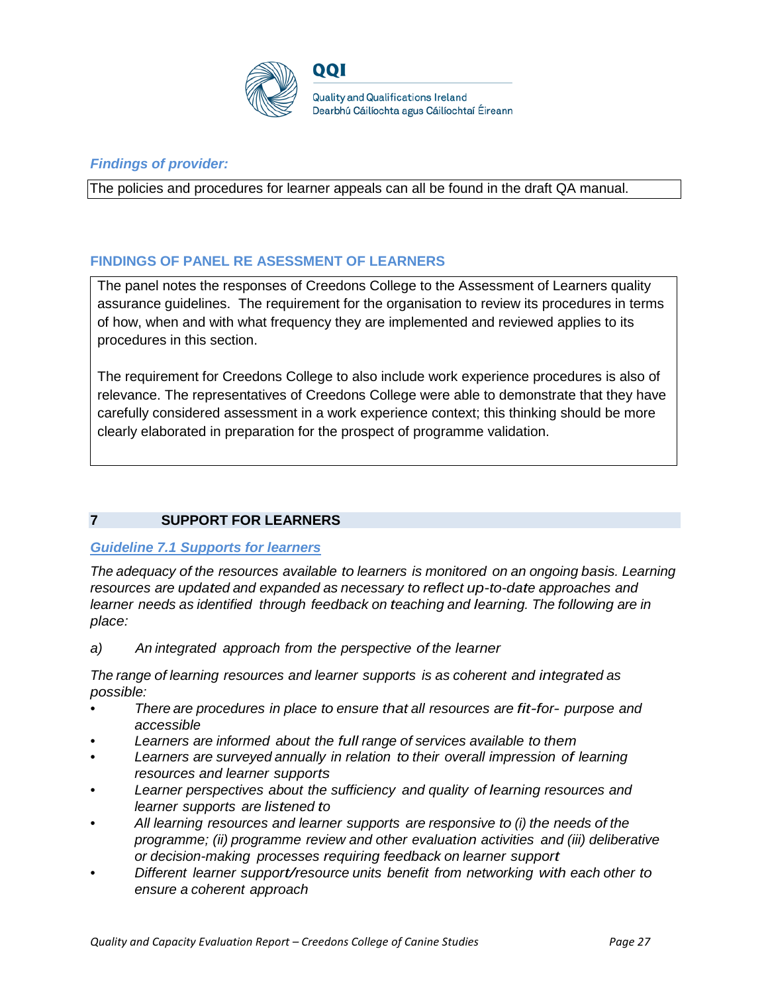

The policies and procedures for learner appeals can all be found in the draft QA manual.

### **FINDINGS OF PANEL RE ASESSMENT OF LEARNERS**

The panel notes the responses of Creedons College to the Assessment of Learners quality assurance guidelines. The requirement for the organisation to review its procedures in terms of how, when and with what frequency they are implemented and reviewed applies to its procedures in this section.

The requirement for Creedons College to also include work experience procedures is also of relevance. The representatives of Creedons College were able to demonstrate that they have carefully considered assessment in a work experience context; this thinking should be more clearly elaborated in preparation for the prospect of programme validation.

# **7 SUPPORT FOR LEARNERS**

#### *Guideline 7.1 Supports for learners*

*The adequacy of the resources available to learners is monitored on an ongoing basis. Learning resources are updated and expanded as necessary to reflect up-to-date approaches and learner needs as identified through feedback on teaching and learning. The following are in place:*

*a) An integrated approach from the perspective of the learner*

*The range of learning resources and learner supports is as coherent and integrated as possible:*

- *• There are procedures in place to ensure that all resources are fit-for- purpose and accessible*
- *• Learners are informed about the full range of services available to them*
- *• Learners are surveyed annually in relation to their overall impression of learning resources and learner supports*
- *• Learner perspectives about the sufficiency and quality of learning resources and learner supports are listened to*
- *• All learning resources and learner supports are responsive to (i) the needs of the programme; (ii) programme review and other evaluation activities and (iii) deliberative or decision-making processes requiring feedback on learner support*
- *• Different learner support/resource units benefit from networking with each other to ensure a coherent approach*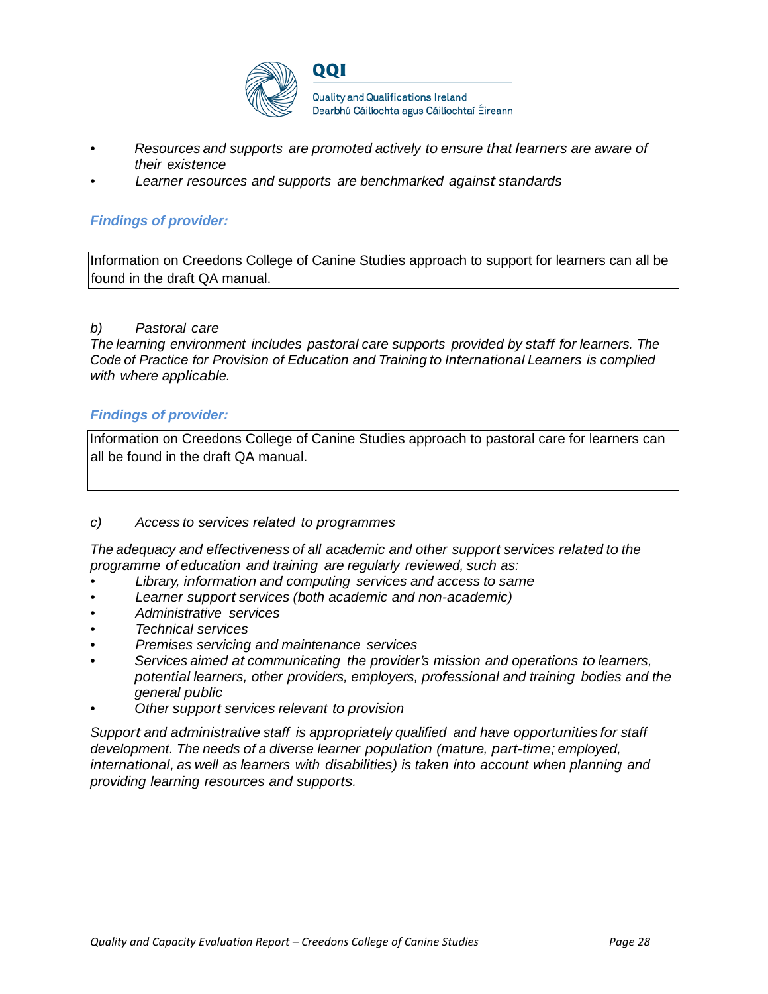

- *• Resources and supports are promoted actively to ensure that learners are aware of their existence*
- *• Learner resources and supports are benchmarked against standards*

Information on Creedons College of Canine Studies approach to support for learners can all be found in the draft QA manual.

#### *b) Pastoral care*

*The learning environment includes pastoral care supports provided by staff for learners. The Code of Practice for Provision of Education and Training to International Learners is complied with where applicable.*

#### *Findings of provider:*

Information on Creedons College of Canine Studies approach to pastoral care for learners can all be found in the draft QA manual.

#### *c) Access to services related to programmes*

*The adequacy and effectiveness of all academic and other support services related to the programme of education and training are regularly reviewed, such as:*

- *• Library, information and computing services and access to same*
- *• Learner support services (both academic and non-academic)*
- *• Administrative services*
- *• Technical services*
- *• Premises servicing and maintenance services*
- *• Services aimed at communicating the provider's mission and operations to learners, potential learners, other providers, employers, professional and training bodies and the general public*
- *• Other support services relevant to provision*

*Support and administrative staff is appropriately qualified and have opportunities for staff development. The needs of a diverse learner population (mature, part-time; employed, international, as well as learners with disabilities) is taken into account when planning and providing learning resources and supports.*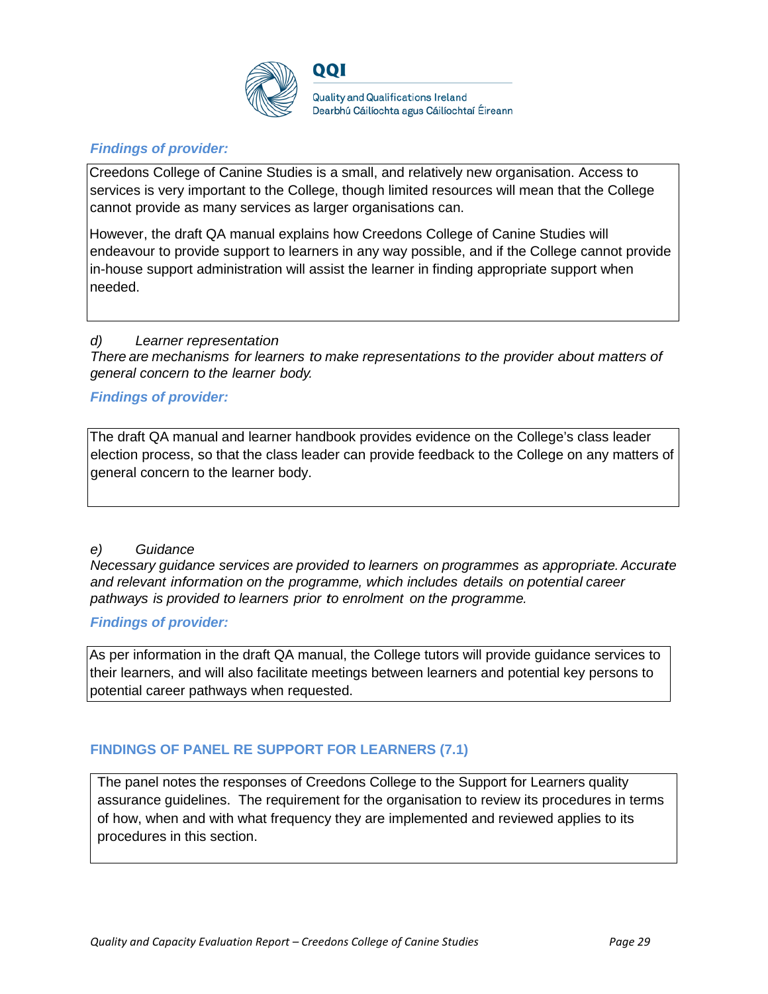

Creedons College of Canine Studies is a small, and relatively new organisation. Access to services is very important to the College, though limited resources will mean that the College cannot provide as many services as larger organisations can.

However, the draft QA manual explains how Creedons College of Canine Studies will endeavour to provide support to learners in any way possible, and if the College cannot provide in-house support administration will assist the learner in finding appropriate support when needed.

#### *d) Learner representation*

*There are mechanisms for learners to make representations to the provider about matters of general concern to the learner body.*

#### *Findings of provider:*

The draft QA manual and learner handbook provides evidence on the College's class leader election process, so that the class leader can provide feedback to the College on any matters of general concern to the learner body.

#### *e) Guidance*

*Necessary guidance services are provided to learners on programmes as appropriate. Accurate and relevant information on the programme, which includes details on potential career pathways is provided to learners prior to enrolment on the programme.*

#### *Findings of provider:*

As per information in the draft QA manual, the College tutors will provide guidance services to their learners, and will also facilitate meetings between learners and potential key persons to potential career pathways when requested.

#### **FINDINGS OF PANEL RE SUPPORT FOR LEARNERS (7.1)**

The panel notes the responses of Creedons College to the Support for Learners quality assurance guidelines. The requirement for the organisation to review its procedures in terms of how, when and with what frequency they are implemented and reviewed applies to its procedures in this section.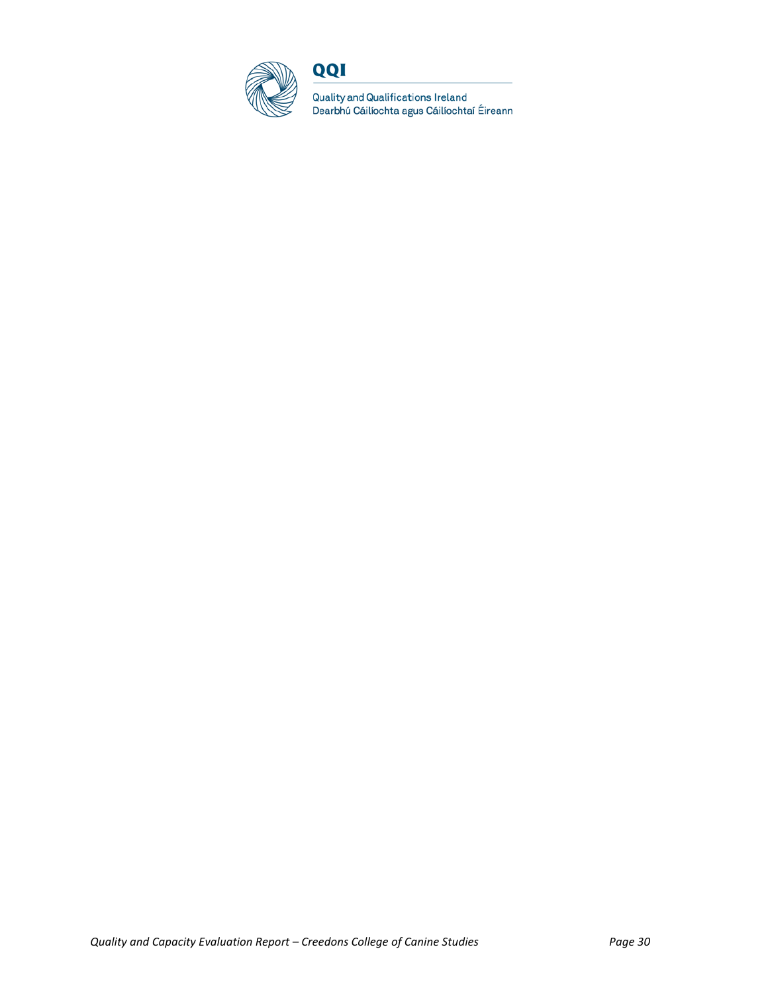

QQI

Quality and Qualifications Ireland<br>Dearbhú Cáilíochta agus Cáilíochtaí Éireann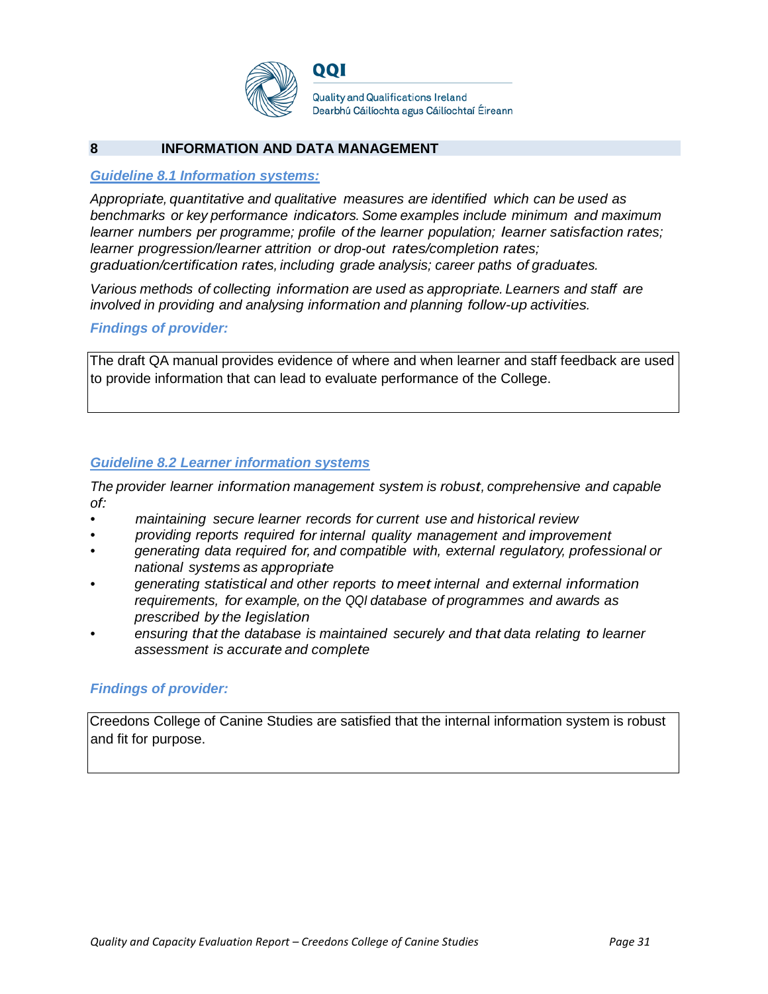

#### **8 INFORMATION AND DATA MANAGEMENT**

#### *Guideline 8.1 Information systems:*

*Appropriate, quantitative and qualitative measures are identified which can be used as benchmarks or key performance indicators. Some examples include minimum and maximum learner numbers per programme; profile of the learner population; learner satisfaction rates; learner progression/learner attrition or drop-out rates/completion rates; graduation/certification rates, including grade analysis; career paths of graduates.*

*Various methods of collecting information are used as appropriate. Learners and staff are involved in providing and analysing information and planning follow-up activities.*

#### *Findings of provider:*

The draft QA manual provides evidence of where and when learner and staff feedback are used to provide information that can lead to evaluate performance of the College.

#### *Guideline 8.2 Learner information systems*

*The provider learner information management system is robust, comprehensive and capable of:*

- *• maintaining secure learner records for current use and historical review*
- *• providing reports required for internal quality management and improvement*
- *• generating data required for, and compatible with, external regulatory, professional or national systems as appropriate*
- *• generating statistical and other reports to meet internal and external information requirements, for example, on the QQI database of programmes and awards as prescribed by the legislation*
- *• ensuring that the database is maintained securely and that data relating to learner assessment is accurate and complete*

#### *Findings of provider:*

Creedons College of Canine Studies are satisfied that the internal information system is robust and fit for purpose.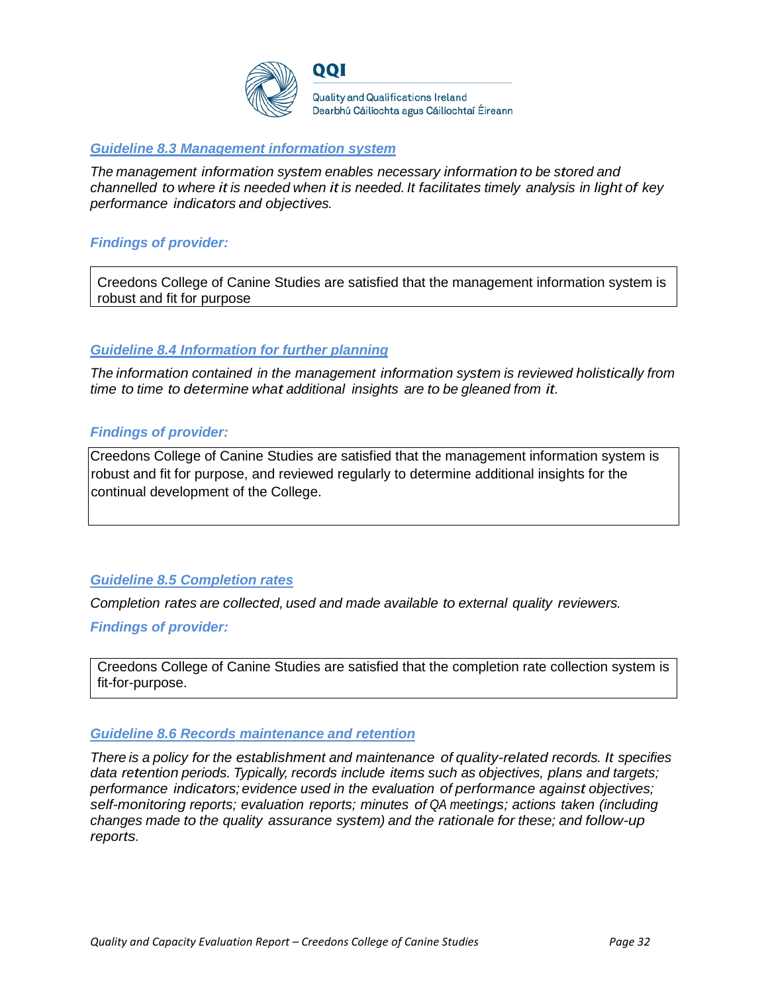

#### *Guideline 8.3 Management information system*

*The management information system enables necessary information to be stored and channelled to where it is needed when it is needed. It facilitates timely analysis in light of key performance indicators and objectives.*

### *Findings of provider:*

Creedons College of Canine Studies are satisfied that the management information system is robust and fit for purpose

#### *Guideline 8.4 Information for further planning*

*The information contained in the management information system is reviewed holistically from time to time to determine what additional insights are to be gleaned from it.*

#### *Findings of provider:*

Creedons College of Canine Studies are satisfied that the management information system is robust and fit for purpose, and reviewed regularly to determine additional insights for the continual development of the College.

#### *Guideline 8.5 Completion rates*

*Completion rates are collected, used and made available to external quality reviewers.*

#### *Findings of provider:*

Creedons College of Canine Studies are satisfied that the completion rate collection system is fit-for-purpose.

#### *Guideline 8.6 Records maintenance and retention*

*There is a policy for the establishment and maintenance of quality-related records. It specifies data retention periods. Typically, records include items such as objectives, plans and targets; performance indicators; evidence used in the evaluation of performance against objectives; self-monitoring reports; evaluation reports; minutes of QA meetings; actions taken (including changes made to the quality assurance system) and the rationale for these; and follow-up reports.*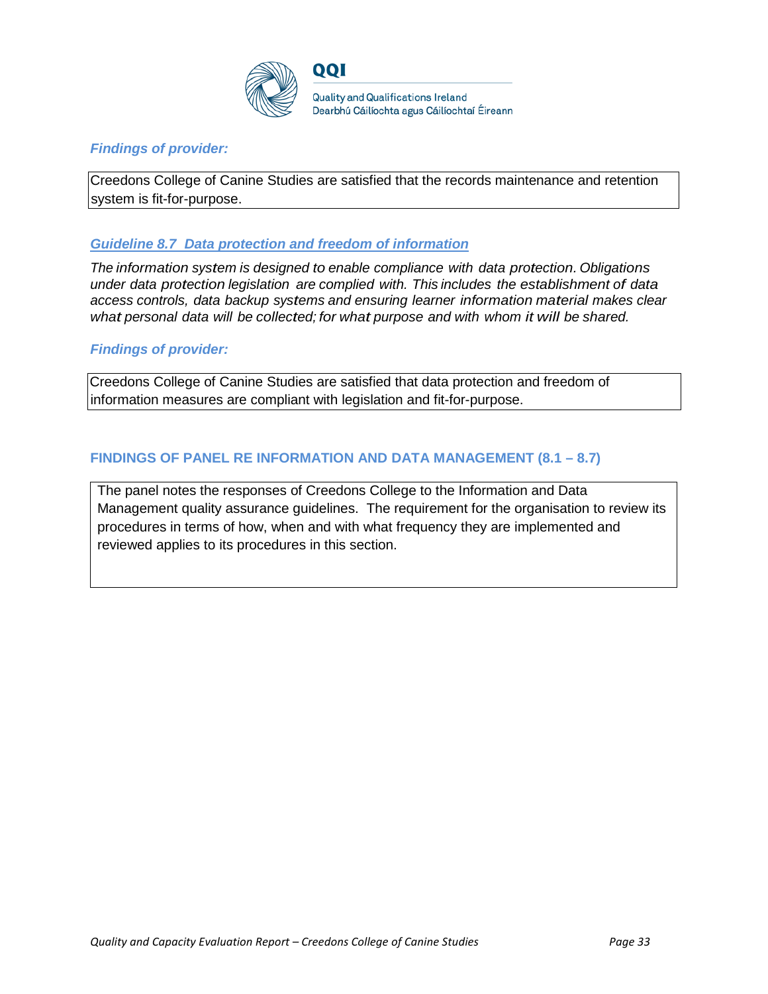

Creedons College of Canine Studies are satisfied that the records maintenance and retention system is fit-for-purpose.

#### *Guideline 8.7 Data protection and freedom of information*

*The information system is designed to enable compliance with data protection. Obligations under data protection legislation are complied with. This includes the establishment of data access controls, data backup systems and ensuring learner information material makes clear what personal data will be collected; for what purpose and with whom it will be shared.*

#### *Findings of provider:*

Creedons College of Canine Studies are satisfied that data protection and freedom of information measures are compliant with legislation and fit-for-purpose.

#### **FINDINGS OF PANEL RE INFORMATION AND DATA MANAGEMENT (8.1 – 8.7)**

The panel notes the responses of Creedons College to the Information and Data Management quality assurance guidelines. The requirement for the organisation to review its procedures in terms of how, when and with what frequency they are implemented and reviewed applies to its procedures in this section.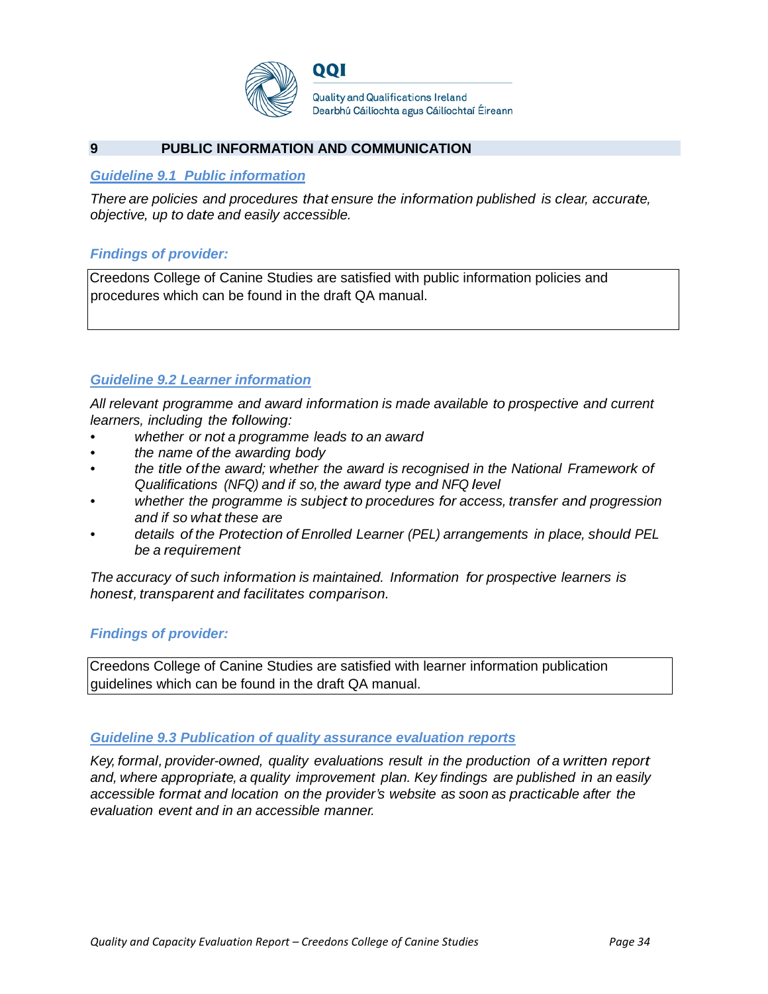

#### **9 PUBLIC INFORMATION AND COMMUNICATION**

#### *Guideline 9.1 Public information*

*There are policies and procedures that ensure the information published is clear, accurate, objective, up to date and easily accessible.*

## *Findings of provider:*

Creedons College of Canine Studies are satisfied with public information policies and procedures which can be found in the draft QA manual.

### *Guideline 9.2 Learner information*

*All relevant programme and award information is made available to prospective and current learners, including the following:*

- *• whether or not a programme leads to an award*
- *• the name of the awarding body*
- *• the title of the award; whether the award is recognised in the National Framework of Qualifications (NFQ) and if so, the award type and NFQ level*
- *• whether the programme is subject to procedures for access, transfer and progression and if so what these are*
- *• details of the Protection of Enrolled Learner (PEL) arrangements in place, should PEL be a requirement*

*The accuracy of such information is maintained. Information for prospective learners is honest, transparent and facilitates comparison.*

#### *Findings of provider:*

Creedons College of Canine Studies are satisfied with learner information publication guidelines which can be found in the draft QA manual.

#### *Guideline 9.3 Publication of quality assurance evaluation reports*

*Key, formal, provider-owned, quality evaluations result in the production of a written report and, where appropriate, a quality improvement plan. Key findings are published in an easily accessible format and location on the provider's website as soon as practicable after the evaluation event and in an accessible manner.*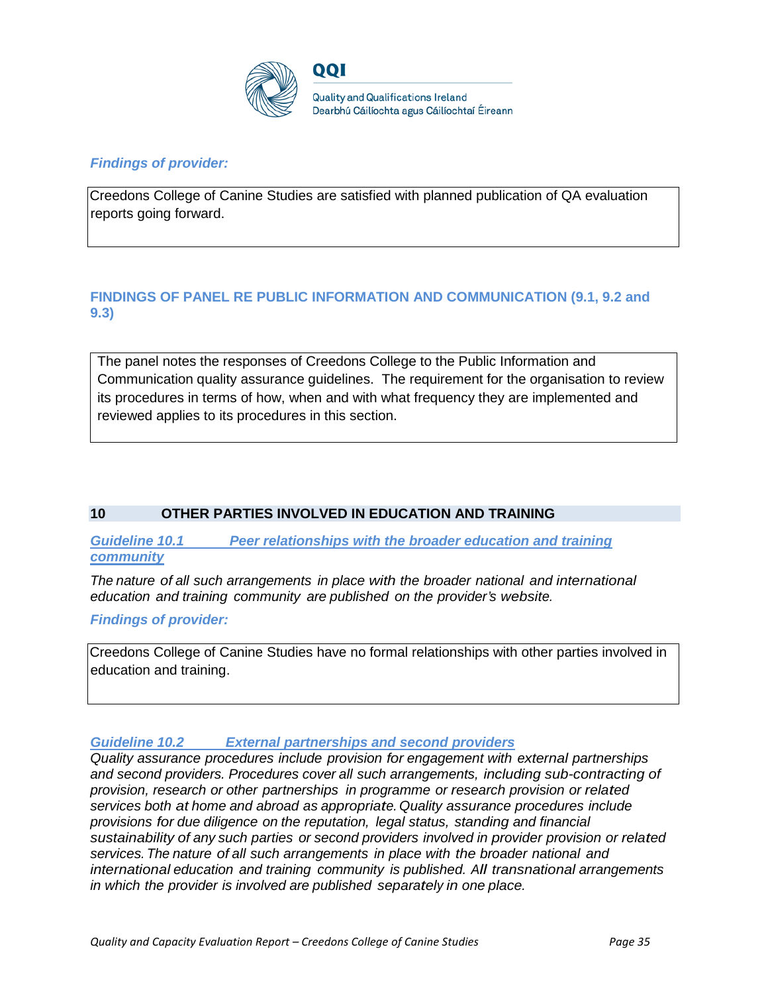

Creedons College of Canine Studies are satisfied with planned publication of QA evaluation reports going forward.

### **FINDINGS OF PANEL RE PUBLIC INFORMATION AND COMMUNICATION (9.1, 9.2 and 9.3)**

The panel notes the responses of Creedons College to the Public Information and Communication quality assurance guidelines. The requirement for the organisation to review its procedures in terms of how, when and with what frequency they are implemented and reviewed applies to its procedures in this section.

# **10 OTHER PARTIES INVOLVED IN EDUCATION AND TRAINING**

*Guideline 10.1 Peer relationships with the broader education and training community*

*The nature of all such arrangements in place with the broader national and international education and training community are published on the provider's website.*

#### *Findings of provider:*

Creedons College of Canine Studies have no formal relationships with other parties involved in education and training.

#### *Guideline 10.2 External partnerships and second providers*

*Quality assurance procedures include provision for engagement with external partnerships and second providers. Procedures cover all such arrangements, including sub-contracting of provision, research or other partnerships in programme or research provision or related services both at home and abroad as appropriate. Quality assurance procedures include provisions for due diligence on the reputation, legal status, standing and financial sustainability of any such parties or second providers involved in provider provision or related services. The nature of all such arrangements in place with the broader national and international education and training community is published. All transnational arrangements in which the provider is involved are published separately in one place.*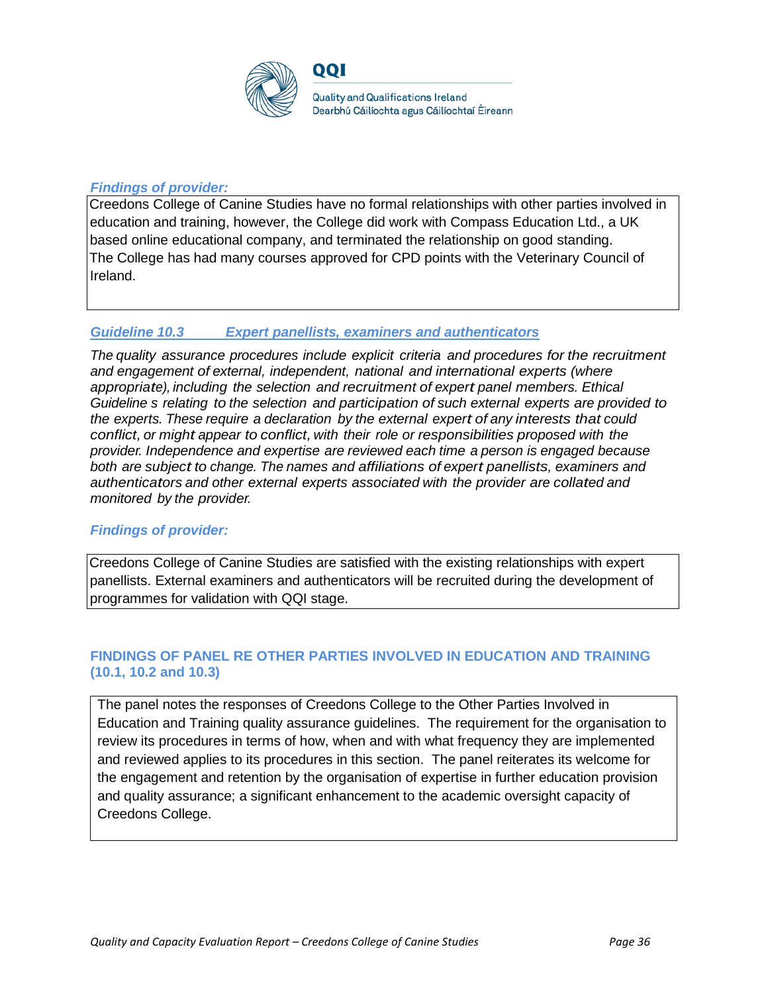

Creedons College of Canine Studies have no formal relationships with other parties involved in education and training, however, the College did work with Compass Education Ltd., a UK based online educational company, and terminated the relationship on good standing. The College has had many courses approved for CPD points with the Veterinary Council of Ireland.

#### *Guideline 10.3 Expert panellists, examiners and authenticators*

*The quality assurance procedures include explicit criteria and procedures for the recruitment and engagement of external, independent, national and international experts (where appropriate), including the selection and recruitment of expert panel members. Ethical Guideline s relating to the selection and participation of such external experts are provided to the experts. These require a declaration by the external expert of any interests that could conflict, or might appear to conflict, with their role or responsibilities proposed with the provider. Independence and expertise are reviewed each time a person is engaged because both are subject to change. The names and affiliations of expert panellists, examiners and authenticators and other external experts associated with the provider are collated and monitored by the provider.*

#### *Findings of provider:*

Creedons College of Canine Studies are satisfied with the existing relationships with expert panellists. External examiners and authenticators will be recruited during the development of programmes for validation with QQI stage.

### **FINDINGS OF PANEL RE OTHER PARTIES INVOLVED IN EDUCATION AND TRAINING (10.1, 10.2 and 10.3)**

The panel notes the responses of Creedons College to the Other Parties Involved in Education and Training quality assurance guidelines. The requirement for the organisation to review its procedures in terms of how, when and with what frequency they are implemented and reviewed applies to its procedures in this section. The panel reiterates its welcome for the engagement and retention by the organisation of expertise in further education provision and quality assurance; a significant enhancement to the academic oversight capacity of Creedons College.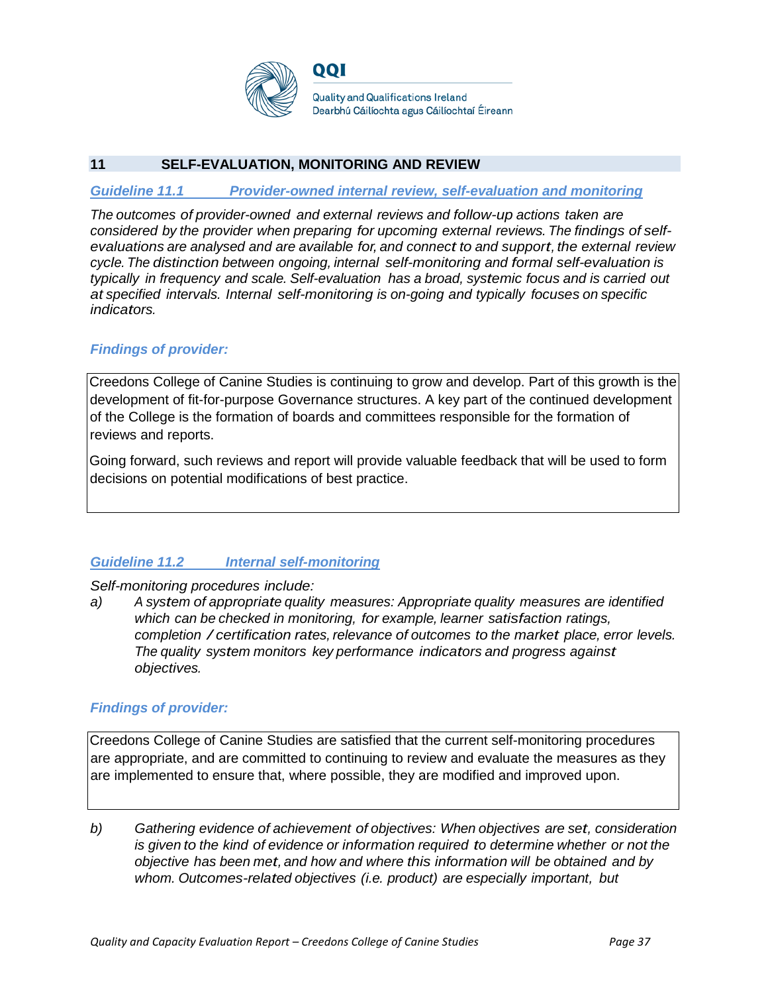

#### **11 SELF-EVALUATION, MONITORING AND REVIEW**

#### *Guideline 11.1 Provider-owned internal review, self-evaluation and monitoring*

*The outcomes of provider-owned and external reviews and follow-up actions taken are considered by the provider when preparing for upcoming external reviews. The findings of selfevaluations are analysed and are available for, and connect to and support, the external review cycle. The distinction between ongoing, internal self-monitoring and formal self-evaluation is typically in frequency and scale. Self-evaluation has a broad, systemic focus and is carried out at specified intervals. Internal self-monitoring is on-going and typically focuses on specific indicators.*

### *Findings of provider:*

Creedons College of Canine Studies is continuing to grow and develop. Part of this growth is the development of fit-for-purpose Governance structures. A key part of the continued development of the College is the formation of boards and committees responsible for the formation of reviews and reports.

Going forward, such reviews and report will provide valuable feedback that will be used to form decisions on potential modifications of best practice.

# *Guideline 11.2 Internal self-monitoring*

#### *Self-monitoring procedures include:*

*a) <sup>A</sup> system of appropriate quality measures: Appropriate quality measures are identified which can be checked in monitoring, for example, learner satisfaction ratings, completion / certification rates, relevance of outcomes to the market place, error levels. The quality system monitors key performance indicators and progress against objectives.*

#### *Findings of provider:*

Creedons College of Canine Studies are satisfied that the current self-monitoring procedures are appropriate, and are committed to continuing to review and evaluate the measures as they are implemented to ensure that, where possible, they are modified and improved upon.

*b) Gathering evidence of achievement of objectives: When objectives are set, consideration is given to the kind of evidence or information required to determine whether or not the objective has been met, and how and where this information will be obtained and by whom. Outcomes-related objectives (i.e. product) are especially important, but*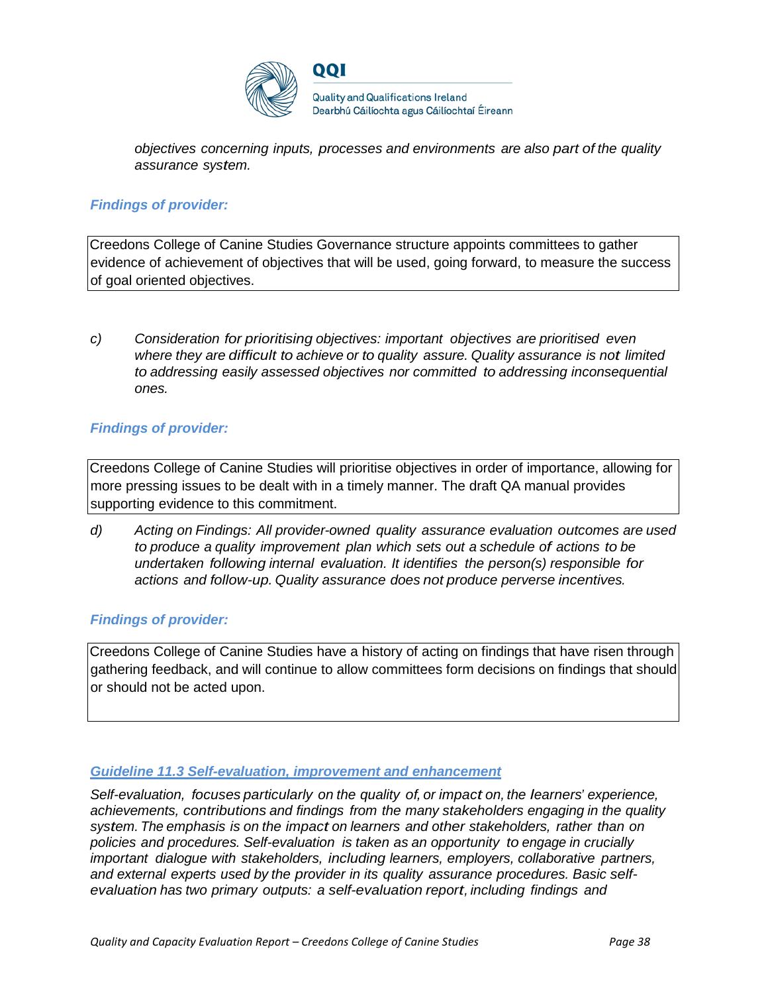

*objectives concerning inputs, processes and environments are also part of the quality assurance system.*

#### *Findings of provider:*

Creedons College of Canine Studies Governance structure appoints committees to gather evidence of achievement of objectives that will be used, going forward, to measure the success of goal oriented objectives.

*c) Consideration for prioritising objectives: important objectives are prioritised even where they are difficult to achieve or to quality assure. Quality assurance is not limited to addressing easily assessed objectives nor committed to addressing inconsequential ones.*

### *Findings of provider:*

Creedons College of Canine Studies will prioritise objectives in order of importance, allowing for more pressing issues to be dealt with in a timely manner. The draft QA manual provides supporting evidence to this commitment.

*d) Acting on Findings: All provider-owned quality assurance evaluation outcomes are used to produce a quality improvement plan which sets out a schedule of actions to be undertaken following internal evaluation. It identifies the person(s) responsible for actions and follow-up. Quality assurance does not produce perverse incentives.*

#### *Findings of provider:*

Creedons College of Canine Studies have a history of acting on findings that have risen through gathering feedback, and will continue to allow committees form decisions on findings that should or should not be acted upon.

#### *Guideline 11.3 Self-evaluation, improvement and enhancement*

*Self-evaluation, focuses particularly on the quality of, or impact on, the learners' experience, achievements, contributions and findings from the many stakeholders engaging in the quality system. The emphasis is on the impact on learners and other stakeholders, rather than on policies and procedures. Self-evaluation is taken as an opportunity to engage in crucially important dialogue with stakeholders, including learners, employers, collaborative partners, and external experts used by the provider in its quality assurance procedures. Basic selfevaluation has two primary outputs: a self-evaluation report, including findings and*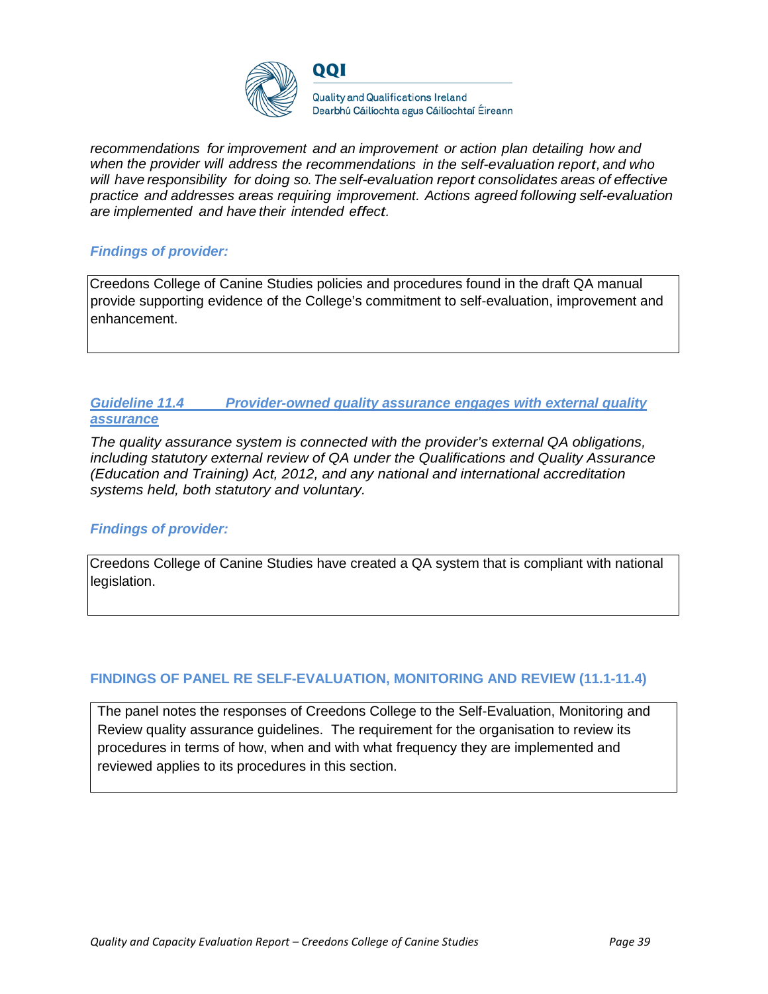

*recommendations for improvement and an improvement or action plan detailing how and when the provider will address the recommendations in the self-evaluation report, and who will have responsibility for doing so.The self-evaluation report consolidates areas of effective practice and addresses areas requiring improvement. Actions agreed following self-evaluation are implemented and have their intended effect.*

#### *Findings of provider:*

Creedons College of Canine Studies policies and procedures found in the draft QA manual provide supporting evidence of the College's commitment to self-evaluation, improvement and enhancement.

#### *Guideline 11.4 Provider-owned quality assurance engages with external quality assurance*

*The quality assurance system is connected with the provider's external QA obligations, including statutory external review of QA under the Qualifications and Quality Assurance (Education and Training) Act, 2012, and any national and international accreditation systems held, both statutory and voluntary.*

#### *Findings of provider:*

Creedons College of Canine Studies have created a QA system that is compliant with national legislation.

#### **FINDINGS OF PANEL RE SELF-EVALUATION, MONITORING AND REVIEW (11.1-11.4)**

The panel notes the responses of Creedons College to the Self-Evaluation, Monitoring and Review quality assurance guidelines. The requirement for the organisation to review its procedures in terms of how, when and with what frequency they are implemented and reviewed applies to its procedures in this section.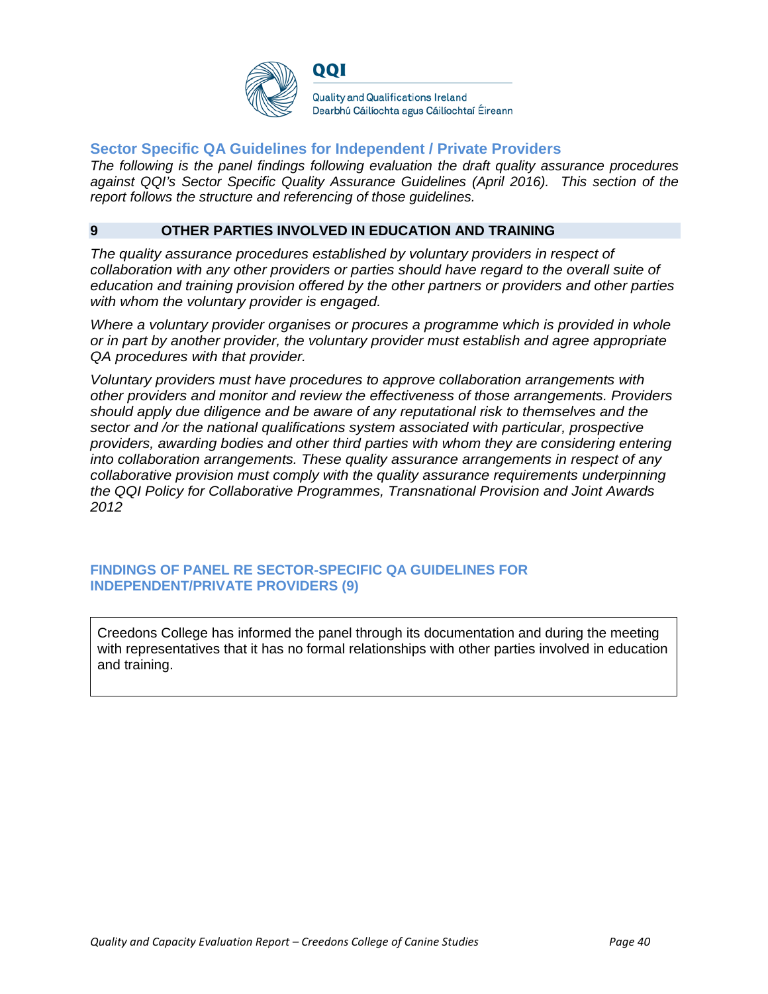

### **Sector Specific QA Guidelines for Independent / Private Providers**

*The following is the panel findings following evaluation the draft quality assurance procedures against QQI's Sector Specific Quality Assurance Guidelines (April 2016). This section of the report follows the structure and referencing of those guidelines.* 

#### **9 OTHER PARTIES INVOLVED IN EDUCATION AND TRAINING**

*The quality assurance procedures established by voluntary providers in respect of collaboration with any other providers or parties should have regard to the overall suite of education and training provision offered by the other partners or providers and other parties with whom the voluntary provider is engaged.* 

*Where a voluntary provider organises or procures a programme which is provided in whole or in part by another provider, the voluntary provider must establish and agree appropriate QA procedures with that provider.* 

*Voluntary providers must have procedures to approve collaboration arrangements with other providers and monitor and review the effectiveness of those arrangements. Providers should apply due diligence and be aware of any reputational risk to themselves and the sector and /or the national qualifications system associated with particular, prospective providers, awarding bodies and other third parties with whom they are considering entering into collaboration arrangements. These quality assurance arrangements in respect of any collaborative provision must comply with the quality assurance requirements underpinning the QQI Policy for Collaborative Programmes, Transnational Provision and Joint Awards 2012* 

#### **FINDINGS OF PANEL RE SECTOR-SPECIFIC QA GUIDELINES FOR INDEPENDENT/PRIVATE PROVIDERS (9)**

Creedons College has informed the panel through its documentation and during the meeting with representatives that it has no formal relationships with other parties involved in education and training.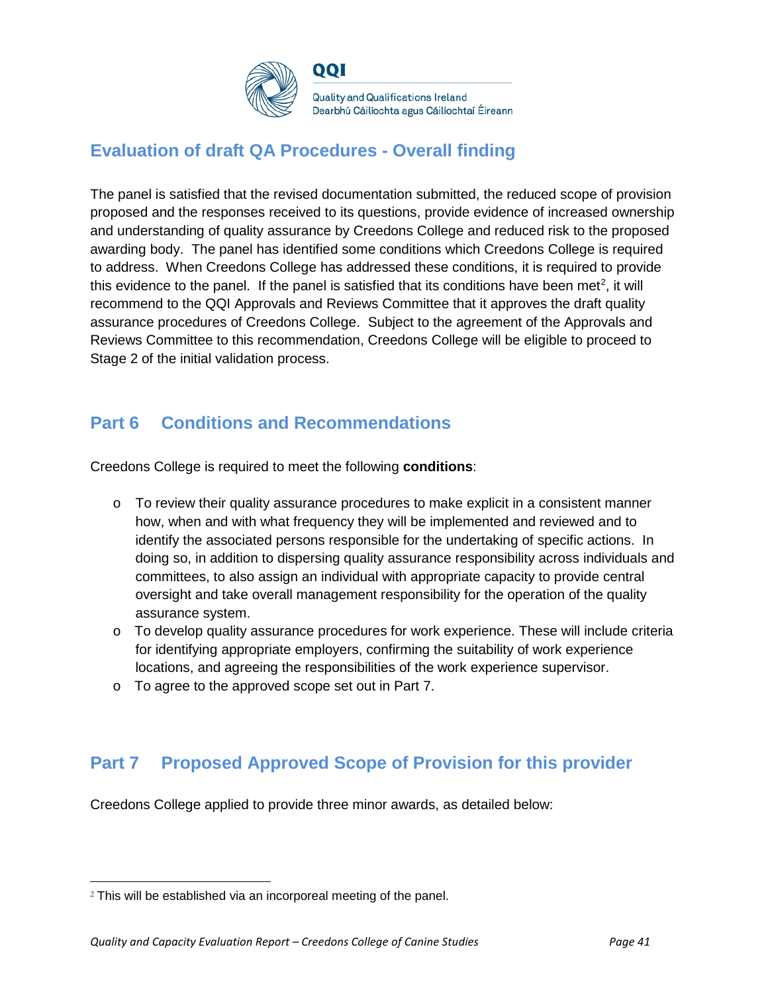

# **Evaluation of draft QA Procedures - Overall finding**

The panel is satisfied that the revised documentation submitted, the reduced scope of provision proposed and the responses received to its questions, provide evidence of increased ownership and understanding of quality assurance by Creedons College and reduced risk to the proposed awarding body. The panel has identified some conditions which Creedons College is required to address. When Creedons College has addressed these conditions, it is required to provide this evidence to the panel. If the panel is satisfied that its conditions have been met<sup>[2](#page-40-0)</sup>, it will recommend to the QQI Approvals and Reviews Committee that it approves the draft quality assurance procedures of Creedons College. Subject to the agreement of the Approvals and Reviews Committee to this recommendation, Creedons College will be eligible to proceed to Stage 2 of the initial validation process.

# **Part 6 Conditions and Recommendations**

Creedons College is required to meet the following **conditions**:

- $\circ$  To review their quality assurance procedures to make explicit in a consistent manner how, when and with what frequency they will be implemented and reviewed and to identify the associated persons responsible for the undertaking of specific actions. In doing so, in addition to dispersing quality assurance responsibility across individuals and committees, to also assign an individual with appropriate capacity to provide central oversight and take overall management responsibility for the operation of the quality assurance system.
- $\circ$  To develop quality assurance procedures for work experience. These will include criteria for identifying appropriate employers, confirming the suitability of work experience locations, and agreeing the responsibilities of the work experience supervisor.
- o To agree to the approved scope set out in Part 7.

# **Part 7 Proposed Approved Scope of Provision for this provider**

Creedons College applied to provide three minor awards, as detailed below:

<span id="page-40-0"></span> <sup>2</sup> This will be established via an incorporeal meeting of the panel.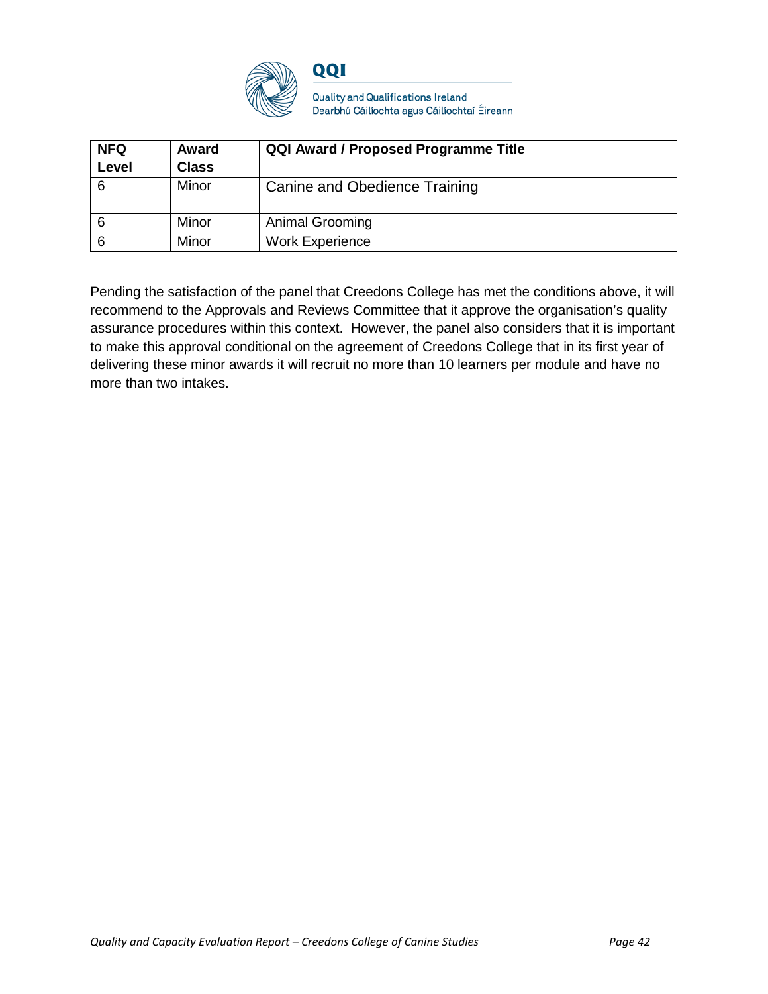

| <b>NFQ</b> | Award        | <b>QQI Award / Proposed Programme Title</b> |  |
|------------|--------------|---------------------------------------------|--|
| Level      | <b>Class</b> |                                             |  |
|            | Minor        | Canine and Obedience Training               |  |
|            | Minor        | <b>Animal Grooming</b>                      |  |
| 6          | Minor        | <b>Work Experience</b>                      |  |

Pending the satisfaction of the panel that Creedons College has met the conditions above, it will recommend to the Approvals and Reviews Committee that it approve the organisation's quality assurance procedures within this context. However, the panel also considers that it is important to make this approval conditional on the agreement of Creedons College that in its first year of delivering these minor awards it will recruit no more than 10 learners per module and have no more than two intakes.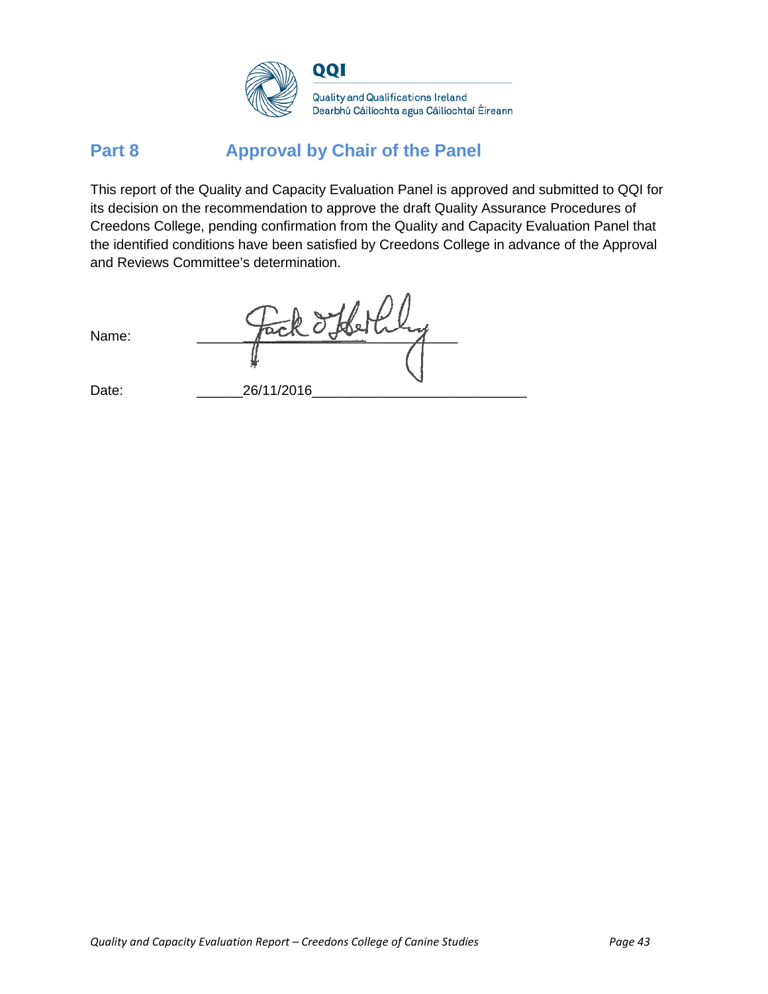

# **Part 8 Approval by Chair of the Panel**

This report of the Quality and Capacity Evaluation Panel is approved and submitted to QQI for its decision on the recommendation to approve the draft Quality Assurance Procedures of Creedons College, pending confirmation from the Quality and Capacity Evaluation Panel that the identified conditions have been satisfied by Creedons College in advance of the Approval and Reviews Committee's determination.

Name: Fack of feet Date: 26/11/2016

*Quality and Capacity Evaluation Report – Creedons College of Canine Studies Page 43*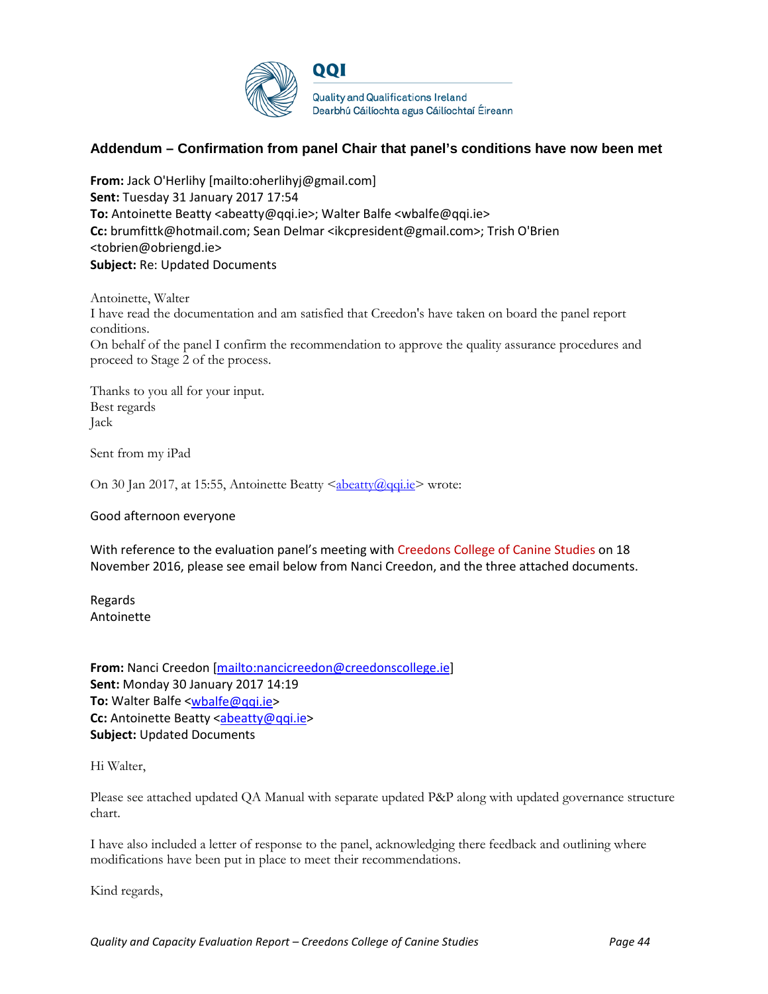

### **Addendum – Confirmation from panel Chair that panel's conditions have now been met**

**From:** Jack O'Herlihy [mailto:oherlihyj@gmail.com] **Sent:** Tuesday 31 January 2017 17:54 **To:** Antoinette Beatty <abeatty@qqi.ie>; Walter Balfe <wbalfe@qqi.ie> **Cc:** brumfittk@hotmail.com; Sean Delmar <ikcpresident@gmail.com>; Trish O'Brien <tobrien@obriengd.ie> **Subject:** Re: Updated Documents

Antoinette, Walter I have read the documentation and am satisfied that Creedon's have taken on board the panel report conditions. On behalf of the panel I confirm the recommendation to approve the quality assurance procedures and proceed to Stage 2 of the process.

Thanks to you all for your input. Best regards Jack

Sent from my iPad

On 30 Jan 2017, at 15:55, Antoinette Beatty  $\langle \text{abecty}(\text{a})q\text{q}i\text{.ie}\rangle$  wrote:

Good afternoon everyone

With reference to the evaluation panel's meeting with Creedons College of Canine Studies on 18 November 2016, please see email below from Nanci Creedon, and the three attached documents.

Regards Antoinette

**From:** Nanci Creedon [\[mailto:nancicreedon@creedonscollege.ie\]](mailto:nancicreedon@creedonscollege.ie) **Sent:** Monday 30 January 2017 14:19 **To:** Walter Balfe [<wbalfe@qqi.ie>](mailto:wbalfe@qqi.ie) **Cc:** Antoinette Beatty [<abeatty@qqi.ie>](mailto:abeatty@qqi.ie) **Subject:** Updated Documents

Hi Walter,

Please see attached updated QA Manual with separate updated P&P along with updated governance structure chart.

I have also included a letter of response to the panel, acknowledging there feedback and outlining where modifications have been put in place to meet their recommendations.

Kind regards,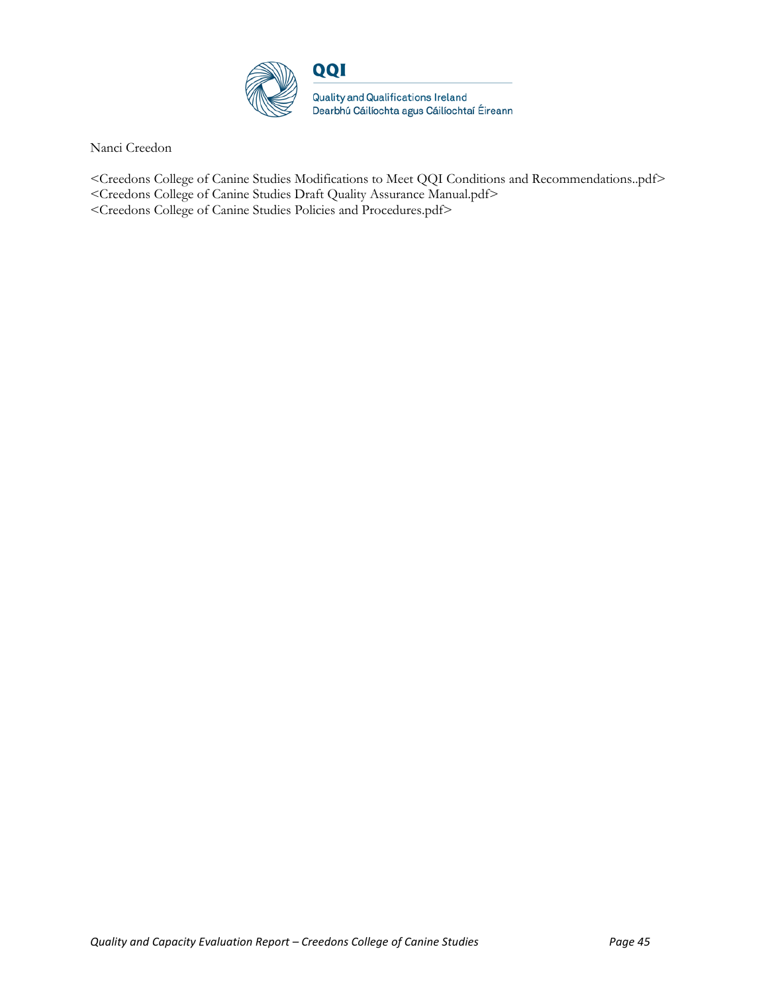

Nanci Creedon

<Creedons College of Canine Studies Modifications to Meet QQI Conditions and Recommendations..pdf>

<Creedons College of Canine Studies Draft Quality Assurance Manual.pdf>

<Creedons College of Canine Studies Policies and Procedures.pdf>